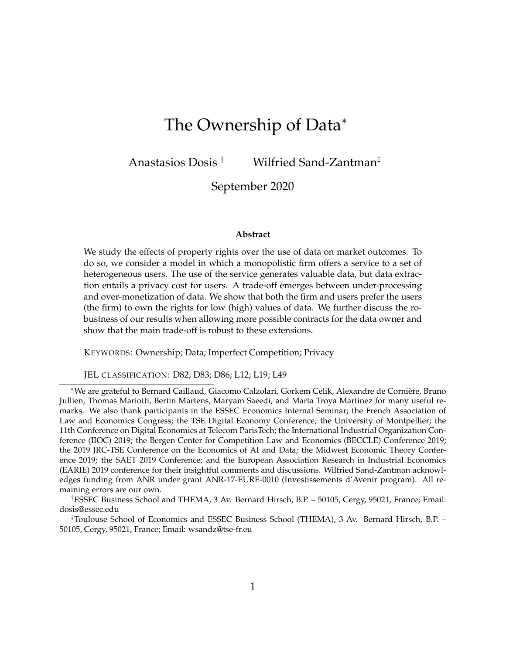# The Ownership of Data<sup>∗</sup>

Anastasios Dosis † Wilfried Sand-Zantman‡

September 2020

## **Abstract**

We study the effects of property rights over the use of data on market outcomes. To do so, we consider a model in which a monopolistic firm offers a service to a set of heterogeneous users. The use of the service generates valuable data, but data extraction entails a privacy cost for users. A trade-off emerges between under-processing and over-monetization of data. We show that both the firm and users prefer the users (the firm) to own the rights for low (high) values of data. We further discuss the robustness of our results when allowing more possible contracts for the data owner and show that the main trade-off is robust to these extensions.

KEYWORDS: Ownership; Data; Imperfect Competition; Privacy

JEL CLASSIFICATION: D82; D83; D86; L12; L19; L49

<sup>∗</sup>We are grateful to Bernard Caillaud, Giacomo Calzolari, Gorkem Celik, Alexandre de Corniere, Bruno ` Jullien, Thomas Mariotti, Bertin Martens, Maryam Saeedi, and Marta Troya Martinez for many useful remarks. We also thank participants in the ESSEC Economics Internal Seminar; the French Association of Law and Economics Congress; the TSE Digital Economy Conference; the University of Montpellier; the 11th Conference on Digital Economics at Telecom ParisTech; the International Industrial Organization Conference (IIOC) 2019; the Bergen Center for Competition Law and Economics (BECCLE) Conference 2019; the 2019 JRC-TSE Conference on the Economics of AI and Data; the Midwest Economic Theory Conference 2019; the SAET 2019 Conference; and the European Association Research in Industrial Economics (EARIE) 2019 conference for their insightful comments and discussions. Wilfried Sand-Zantman acknowledges funding from ANR under grant ANR-17-EURE-0010 (Investissements d'Avenir program). All remaining errors are our own.

†ESSEC Business School and THEMA, 3 Av. Bernard Hirsch, B.P. – 50105, Cergy, 95021, France; Email: dosis@essec.edu

‡Toulouse School of Economics and ESSEC Business School (THEMA), 3 Av. Bernard Hirsch, B.P. – 50105, Cergy, 95021, France; Email: wsandz@tse-fr.eu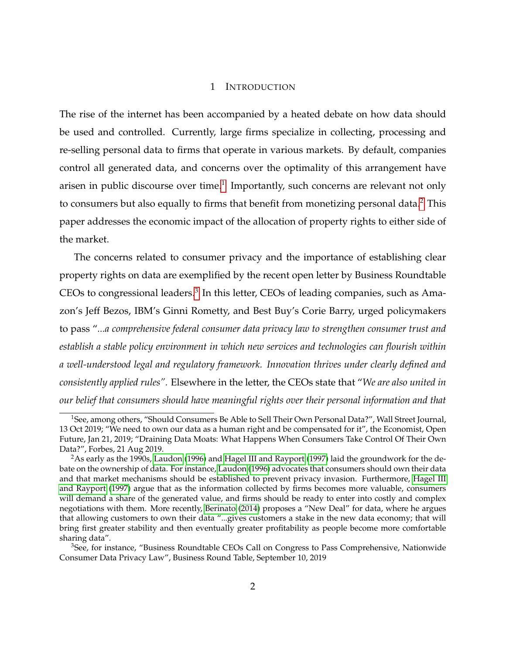## 1 INTRODUCTION

The rise of the internet has been accompanied by a heated debate on how data should be used and controlled. Currently, large firms specialize in collecting, processing and re-selling personal data to firms that operate in various markets. By default, companies control all generated data, and concerns over the optimality of this arrangement have arisen in public discourse over time.<sup>[1](#page-1-0)</sup> Importantly, such concerns are relevant not only to consumers but also equally to firms that benefit from monetizing personal data.<sup>[2](#page-1-1)</sup> This paper addresses the economic impact of the allocation of property rights to either side of the market.

The concerns related to consumer privacy and the importance of establishing clear property rights on data are exemplified by the recent open letter by Business Roundtable CEOs to congressional leaders.<sup>[3](#page-1-2)</sup> In this letter, CEOs of leading companies, such as Amazon's Jeff Bezos, IBM's Ginni Rometty, and Best Buy's Corie Barry, urged policymakers to pass "*...a comprehensive federal consumer data privacy law to strengthen consumer trust and establish a stable policy environment in which new services and technologies can flourish within a well-understood legal and regulatory framework. Innovation thrives under clearly defined and consistently applied rules".* Elsewhere in the letter, the CEOs state that "*We are also united in our belief that consumers should have meaningful rights over their personal information and that*

<span id="page-1-0"></span><sup>&</sup>lt;sup>1</sup>See, among others, "Should Consumers Be Able to Sell Their Own Personal Data?", Wall Street Journal, 13 Oct 2019; "We need to own our data as a human right and be compensated for it", the Economist, Open Future, Jan 21, 2019; "Draining Data Moats: What Happens When Consumers Take Control Of Their Own Data?", Forbes, 21 Aug 2019.

<span id="page-1-1"></span><sup>&</sup>lt;sup>2</sup>As early as the 1990s, [Laudon](#page-48-0) [\(1996\)](#page-48-0) and [Hagel III and Rayport](#page-47-0) [\(1997\)](#page-47-0) laid the groundwork for the debate on the ownership of data. For instance, [Laudon](#page-48-0) [\(1996\)](#page-48-0) advocates that consumers should own their data and that market mechanisms should be established to prevent privacy invasion. Furthermore, [Hagel III](#page-47-0) [and Rayport](#page-47-0) [\(1997\)](#page-47-0) argue that as the information collected by firms becomes more valuable, consumers will demand a share of the generated value, and firms should be ready to enter into costly and complex negotiations with them. More recently, [Berinato](#page-46-0) [\(2014\)](#page-46-0) proposes a "New Deal" for data, where he argues that allowing customers to own their data "...gives customers a stake in the new data economy; that will bring first greater stability and then eventually greater profitability as people become more comfortable sharing data".

<span id="page-1-2"></span><sup>&</sup>lt;sup>3</sup>See, for instance, "Business Roundtable CEOs Call on Congress to Pass Comprehensive, Nationwide Consumer Data Privacy Law", Business Round Table, September 10, 2019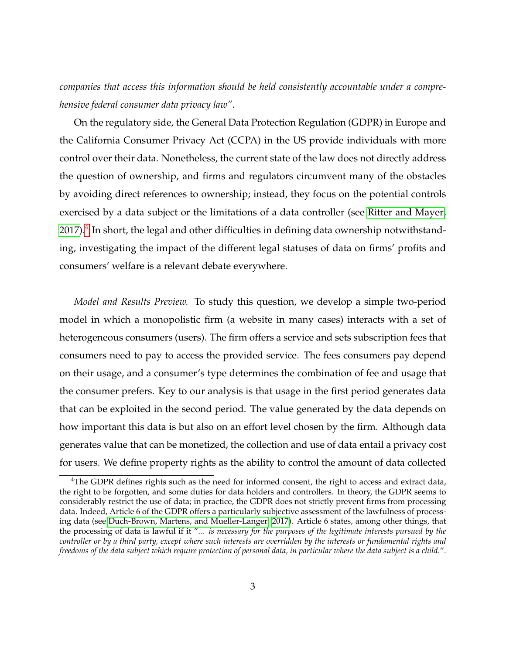*companies that access this information should be held consistently accountable under a comprehensive federal consumer data privacy law".*

On the regulatory side, the General Data Protection Regulation (GDPR) in Europe and the California Consumer Privacy Act (CCPA) in the US provide individuals with more control over their data. Nonetheless, the current state of the law does not directly address the question of ownership, and firms and regulators circumvent many of the obstacles by avoiding direct references to ownership; instead, they focus on the potential controls exercised by a data subject or the limitations of a data controller (see [Ritter and Mayer,](#page-48-1) [2017\)](#page-48-1). $^4$  $^4$  In short, the legal and other difficulties in defining data ownership notwithstanding, investigating the impact of the different legal statuses of data on firms' profits and consumers' welfare is a relevant debate everywhere.

*Model and Results Preview.* To study this question, we develop a simple two-period model in which a monopolistic firm (a website in many cases) interacts with a set of heterogeneous consumers (users). The firm offers a service and sets subscription fees that consumers need to pay to access the provided service. The fees consumers pay depend on their usage, and a consumer's type determines the combination of fee and usage that the consumer prefers. Key to our analysis is that usage in the first period generates data that can be exploited in the second period. The value generated by the data depends on how important this data is but also on an effort level chosen by the firm. Although data generates value that can be monetized, the collection and use of data entail a privacy cost for users. We define property rights as the ability to control the amount of data collected

<span id="page-2-0"></span><sup>&</sup>lt;sup>4</sup>The GDPR defines rights such as the need for informed consent, the right to access and extract data, the right to be forgotten, and some duties for data holders and controllers. In theory, the GDPR seems to considerably restrict the use of data; in practice, the GDPR does not strictly prevent firms from processing data. Indeed, Article 6 of the GDPR offers a particularly subjective assessment of the lawfulness of processing data (see [Duch-Brown, Martens, and Mueller-Langer, 2017\)](#page-47-1). Article 6 states, among other things, that the processing of data is lawful if it "... *is necessary for the purposes of the legitimate interests pursued by the controller or by a third party, except where such interests are overridden by the interests or fundamental rights and freedoms of the data subject which require protection of personal data, in particular where the data subject is a child.*".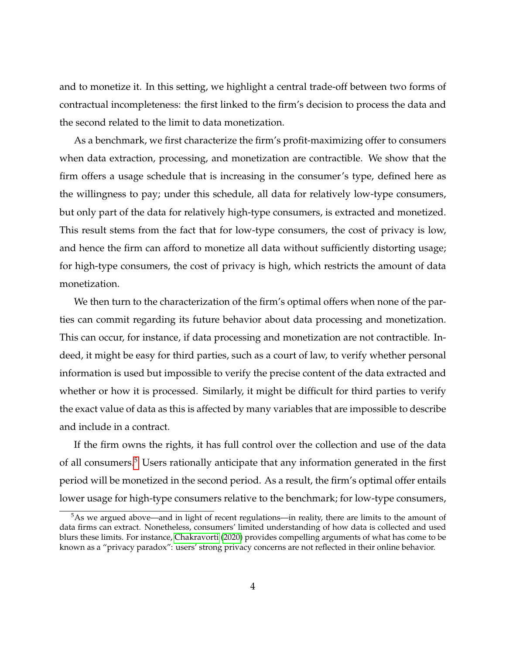and to monetize it. In this setting, we highlight a central trade-off between two forms of contractual incompleteness: the first linked to the firm's decision to process the data and the second related to the limit to data monetization.

As a benchmark, we first characterize the firm's profit-maximizing offer to consumers when data extraction, processing, and monetization are contractible. We show that the firm offers a usage schedule that is increasing in the consumer's type, defined here as the willingness to pay; under this schedule, all data for relatively low-type consumers, but only part of the data for relatively high-type consumers, is extracted and monetized. This result stems from the fact that for low-type consumers, the cost of privacy is low, and hence the firm can afford to monetize all data without sufficiently distorting usage; for high-type consumers, the cost of privacy is high, which restricts the amount of data monetization.

We then turn to the characterization of the firm's optimal offers when none of the parties can commit regarding its future behavior about data processing and monetization. This can occur, for instance, if data processing and monetization are not contractible. Indeed, it might be easy for third parties, such as a court of law, to verify whether personal information is used but impossible to verify the precise content of the data extracted and whether or how it is processed. Similarly, it might be difficult for third parties to verify the exact value of data as this is affected by many variables that are impossible to describe and include in a contract.

If the firm owns the rights, it has full control over the collection and use of the data of all consumers.[5](#page-3-0) Users rationally anticipate that any information generated in the first period will be monetized in the second period. As a result, the firm's optimal offer entails lower usage for high-type consumers relative to the benchmark; for low-type consumers,

<span id="page-3-0"></span><sup>&</sup>lt;sup>5</sup>As we argued above—and in light of recent regulations—in reality, there are limits to the amount of data firms can extract. Nonetheless, consumers' limited understanding of how data is collected and used blurs these limits. For instance, [Chakravorti](#page-47-2) [\(2020\)](#page-47-2) provides compelling arguments of what has come to be known as a "privacy paradox": users' strong privacy concerns are not reflected in their online behavior.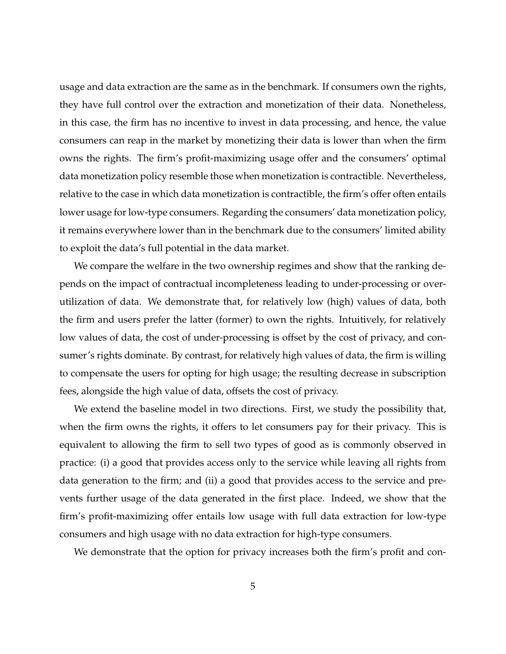usage and data extraction are the same as in the benchmark. If consumers own the rights, they have full control over the extraction and monetization of their data. Nonetheless, in this case, the firm has no incentive to invest in data processing, and hence, the value consumers can reap in the market by monetizing their data is lower than when the firm owns the rights. The firm's profit-maximizing usage offer and the consumers' optimal data monetization policy resemble those when monetization is contractible. Nevertheless, relative to the case in which data monetization is contractible, the firm's offer often entails lower usage for low-type consumers. Regarding the consumers' data monetization policy, it remains everywhere lower than in the benchmark due to the consumers' limited ability to exploit the data's full potential in the data market.

We compare the welfare in the two ownership regimes and show that the ranking depends on the impact of contractual incompleteness leading to under-processing or overutilization of data. We demonstrate that, for relatively low (high) values of data, both the firm and users prefer the latter (former) to own the rights. Intuitively, for relatively low values of data, the cost of under-processing is offset by the cost of privacy, and consumer's rights dominate. By contrast, for relatively high values of data, the firm is willing to compensate the users for opting for high usage; the resulting decrease in subscription fees, alongside the high value of data, offsets the cost of privacy.

We extend the baseline model in two directions. First, we study the possibility that, when the firm owns the rights, it offers to let consumers pay for their privacy. This is equivalent to allowing the firm to sell two types of good as is commonly observed in practice: (i) a good that provides access only to the service while leaving all rights from data generation to the firm; and (ii) a good that provides access to the service and prevents further usage of the data generated in the first place. Indeed, we show that the firm's profit-maximizing offer entails low usage with full data extraction for low-type consumers and high usage with no data extraction for high-type consumers.

We demonstrate that the option for privacy increases both the firm's profit and con-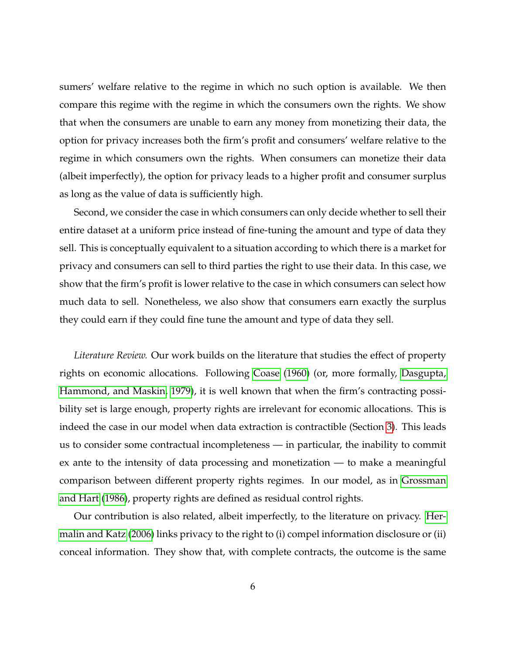sumers' welfare relative to the regime in which no such option is available. We then compare this regime with the regime in which the consumers own the rights. We show that when the consumers are unable to earn any money from monetizing their data, the option for privacy increases both the firm's profit and consumers' welfare relative to the regime in which consumers own the rights. When consumers can monetize their data (albeit imperfectly), the option for privacy leads to a higher profit and consumer surplus as long as the value of data is sufficiently high.

Second, we consider the case in which consumers can only decide whether to sell their entire dataset at a uniform price instead of fine-tuning the amount and type of data they sell. This is conceptually equivalent to a situation according to which there is a market for privacy and consumers can sell to third parties the right to use their data. In this case, we show that the firm's profit is lower relative to the case in which consumers can select how much data to sell. Nonetheless, we also show that consumers earn exactly the surplus they could earn if they could fine tune the amount and type of data they sell.

*Literature Review.* Our work builds on the literature that studies the effect of property rights on economic allocations. Following [Coase](#page-47-3) [\(1960\)](#page-47-3) (or, more formally, [Dasgupta,](#page-47-4) [Hammond, and Maskin, 1979\)](#page-47-4), it is well known that when the firm's contracting possibility set is large enough, property rights are irrelevant for economic allocations. This is indeed the case in our model when data extraction is contractible (Section [3\)](#page-9-0). This leads us to consider some contractual incompleteness — in particular, the inability to commit ex ante to the intensity of data processing and monetization — to make a meaningful comparison between different property rights regimes. In our model, as in [Grossman](#page-47-5) [and Hart](#page-47-5) [\(1986\)](#page-47-5), property rights are defined as residual control rights.

Our contribution is also related, albeit imperfectly, to the literature on privacy. [Her](#page-47-6)[malin and Katz](#page-47-6) [\(2006\)](#page-47-6) links privacy to the right to (i) compel information disclosure or (ii) conceal information. They show that, with complete contracts, the outcome is the same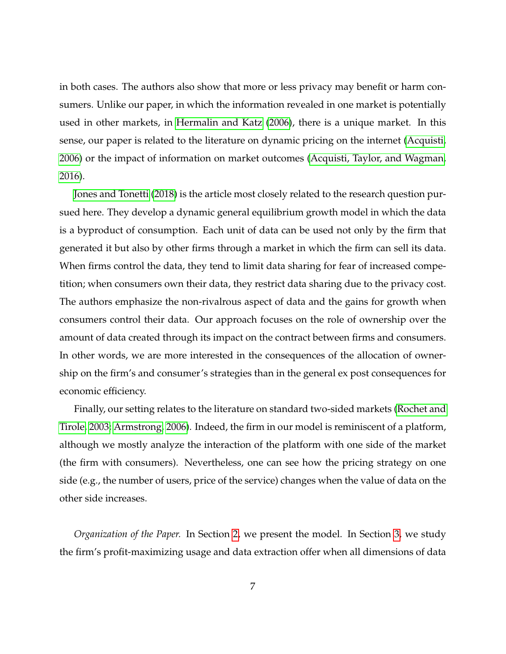in both cases. The authors also show that more or less privacy may benefit or harm consumers. Unlike our paper, in which the information revealed in one market is potentially used in other markets, in [Hermalin and Katz](#page-47-6) [\(2006\)](#page-47-6), there is a unique market. In this sense, our paper is related to the literature on dynamic pricing on the internet [\(Acquisti,](#page-46-1) [2006\)](#page-46-1) or the impact of information on market outcomes [\(Acquisti, Taylor, and Wagman,](#page-46-2) [2016\)](#page-46-2).

[Jones and Tonetti](#page-48-2) [\(2018\)](#page-48-2) is the article most closely related to the research question pursued here. They develop a dynamic general equilibrium growth model in which the data is a byproduct of consumption. Each unit of data can be used not only by the firm that generated it but also by other firms through a market in which the firm can sell its data. When firms control the data, they tend to limit data sharing for fear of increased competition; when consumers own their data, they restrict data sharing due to the privacy cost. The authors emphasize the non-rivalrous aspect of data and the gains for growth when consumers control their data. Our approach focuses on the role of ownership over the amount of data created through its impact on the contract between firms and consumers. In other words, we are more interested in the consequences of the allocation of ownership on the firm's and consumer's strategies than in the general ex post consequences for economic efficiency.

Finally, our setting relates to the literature on standard two-sided markets [\(Rochet and](#page-48-3) [Tirole, 2003;](#page-48-3) [Armstrong, 2006\)](#page-46-3). Indeed, the firm in our model is reminiscent of a platform, although we mostly analyze the interaction of the platform with one side of the market (the firm with consumers). Nevertheless, one can see how the pricing strategy on one side (e.g., the number of users, price of the service) changes when the value of data on the other side increases.

*Organization of the Paper.* In Section [2,](#page-7-0) we present the model. In Section [3,](#page-9-0) we study the firm's profit-maximizing usage and data extraction offer when all dimensions of data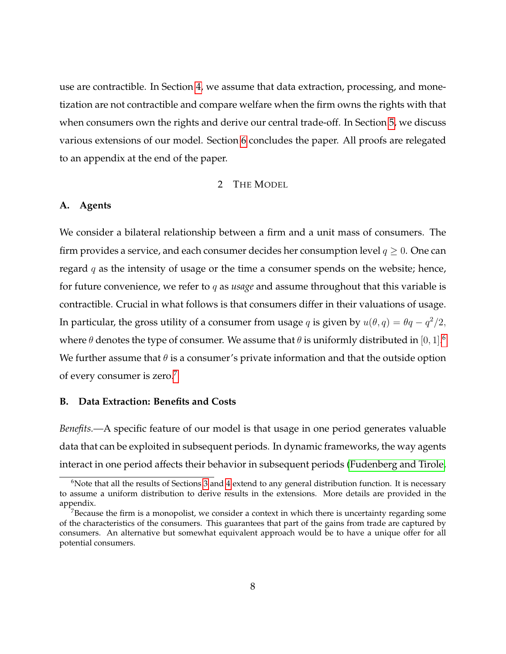use are contractible. In Section [4,](#page-13-0) we assume that data extraction, processing, and monetization are not contractible and compare welfare when the firm owns the rights with that when consumers own the rights and derive our central trade-off. In Section [5,](#page-23-0) we discuss various extensions of our model. Section [6](#page-30-0) concludes the paper. All proofs are relegated to an appendix at the end of the paper.

# 2 THE MODEL

## <span id="page-7-0"></span>**A. Agents**

We consider a bilateral relationship between a firm and a unit mass of consumers. The firm provides a service, and each consumer decides her consumption level  $q \geq 0$ . One can regard  $q$  as the intensity of usage or the time a consumer spends on the website; hence, for future convenience, we refer to q as *usage* and assume throughout that this variable is contractible. Crucial in what follows is that consumers differ in their valuations of usage. In particular, the gross utility of a consumer from usage q is given by  $u(\theta, q) = \theta q - \frac{q^2}{2}$ , where  $\theta$  denotes the type of consumer. We assume that  $\theta$  is uniformly distributed in  $[0,1].^6$  $[0,1].^6$ We further assume that  $\theta$  is a consumer's private information and that the outside option of every consumer is zero.<sup>[7](#page-7-2)</sup>

## **B. Data Extraction: Benefits and Costs**

*Benefits.—*A specific feature of our model is that usage in one period generates valuable data that can be exploited in subsequent periods. In dynamic frameworks, the way agents interact in one period affects their behavior in subsequent periods [\(Fudenberg and Tirole,](#page-47-7)

<span id="page-7-1"></span> $6N$ ote that all the results of Sections [3](#page-9-0) and [4](#page-13-0) extend to any general distribution function. It is necessary to assume a uniform distribution to derive results in the extensions. More details are provided in the appendix.

<span id="page-7-2"></span> $7B$  Because the firm is a monopolist, we consider a context in which there is uncertainty regarding some of the characteristics of the consumers. This guarantees that part of the gains from trade are captured by consumers. An alternative but somewhat equivalent approach would be to have a unique offer for all potential consumers.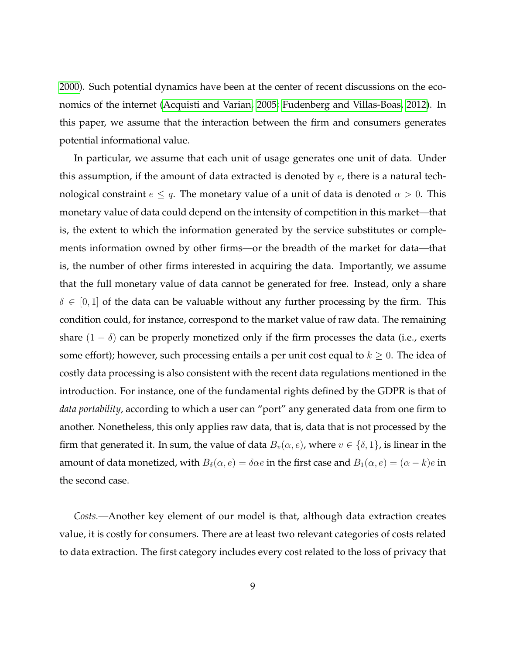[2000\)](#page-47-7). Such potential dynamics have been at the center of recent discussions on the economics of the internet [\(Acquisti and Varian, 2005;](#page-46-4) [Fudenberg and Villas-Boas, 2012\)](#page-47-8). In this paper, we assume that the interaction between the firm and consumers generates potential informational value.

In particular, we assume that each unit of usage generates one unit of data. Under this assumption, if the amount of data extracted is denoted by  $e$ , there is a natural technological constraint  $e \leq q$ . The monetary value of a unit of data is denoted  $\alpha > 0$ . This monetary value of data could depend on the intensity of competition in this market—that is, the extent to which the information generated by the service substitutes or complements information owned by other firms—or the breadth of the market for data—that is, the number of other firms interested in acquiring the data. Importantly, we assume that the full monetary value of data cannot be generated for free. Instead, only a share  $\delta \in [0,1]$  of the data can be valuable without any further processing by the firm. This condition could, for instance, correspond to the market value of raw data. The remaining share  $(1 - \delta)$  can be properly monetized only if the firm processes the data (i.e., exerts some effort); however, such processing entails a per unit cost equal to  $k \geq 0$ . The idea of costly data processing is also consistent with the recent data regulations mentioned in the introduction. For instance, one of the fundamental rights defined by the GDPR is that of *data portability*, according to which a user can "port" any generated data from one firm to another. Nonetheless, this only applies raw data, that is, data that is not processed by the firm that generated it. In sum, the value of data  $B_v(\alpha, e)$ , where  $v \in \{\delta, 1\}$ , is linear in the amount of data monetized, with  $B_\delta(\alpha, e) = \delta \alpha e$  in the first case and  $B_1(\alpha, e) = (\alpha - k)e$  in the second case.

*Costs.—*Another key element of our model is that, although data extraction creates value, it is costly for consumers. There are at least two relevant categories of costs related to data extraction. The first category includes every cost related to the loss of privacy that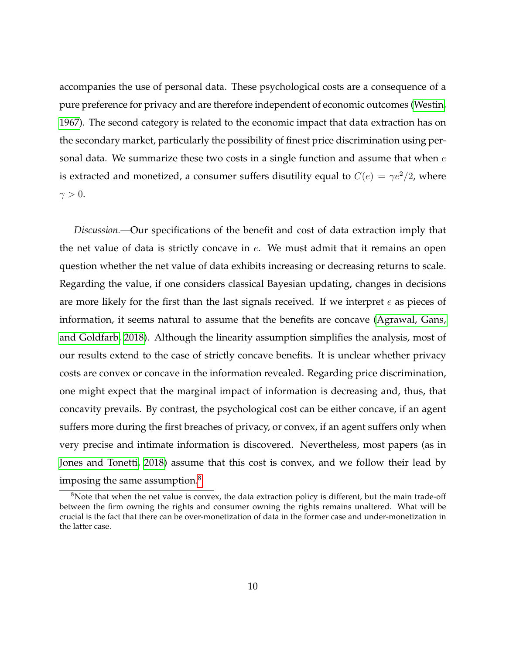accompanies the use of personal data. These psychological costs are a consequence of a pure preference for privacy and are therefore independent of economic outcomes [\(Westin,](#page-48-4) [1967\)](#page-48-4). The second category is related to the economic impact that data extraction has on the secondary market, particularly the possibility of finest price discrimination using personal data. We summarize these two costs in a single function and assume that when  $e$ is extracted and monetized, a consumer suffers disutility equal to  $C(e) = \gamma e^2/2$ , where  $\gamma > 0$ .

*Discussion.—*Our specifications of the benefit and cost of data extraction imply that the net value of data is strictly concave in  $e$ . We must admit that it remains an open question whether the net value of data exhibits increasing or decreasing returns to scale. Regarding the value, if one considers classical Bayesian updating, changes in decisions are more likely for the first than the last signals received. If we interpret  $e$  as pieces of information, it seems natural to assume that the benefits are concave [\(Agrawal, Gans,](#page-46-5) [and Goldfarb, 2018\)](#page-46-5). Although the linearity assumption simplifies the analysis, most of our results extend to the case of strictly concave benefits. It is unclear whether privacy costs are convex or concave in the information revealed. Regarding price discrimination, one might expect that the marginal impact of information is decreasing and, thus, that concavity prevails. By contrast, the psychological cost can be either concave, if an agent suffers more during the first breaches of privacy, or convex, if an agent suffers only when very precise and intimate information is discovered. Nevertheless, most papers (as in [Jones and Tonetti, 2018\)](#page-48-2) assume that this cost is convex, and we follow their lead by imposing the same assumption. $8$ 

<span id="page-9-1"></span><span id="page-9-0"></span><sup>&</sup>lt;sup>8</sup>Note that when the net value is convex, the data extraction policy is different, but the main trade-off between the firm owning the rights and consumer owning the rights remains unaltered. What will be crucial is the fact that there can be over-monetization of data in the former case and under-monetization in the latter case.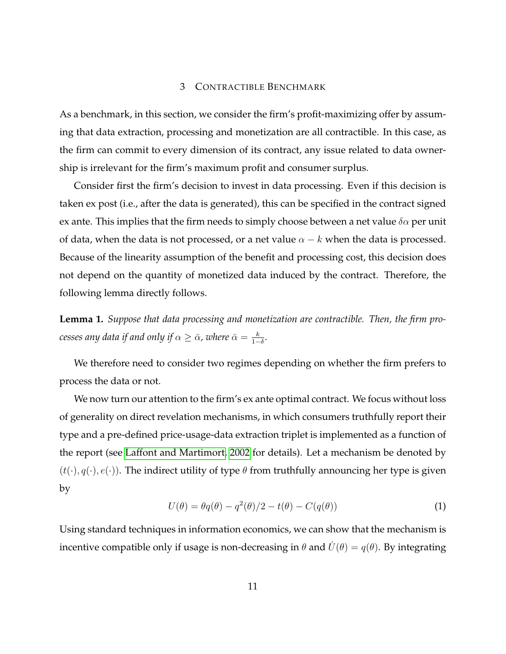#### 3 CONTRACTIBLE BENCHMARK

As a benchmark, in this section, we consider the firm's profit-maximizing offer by assuming that data extraction, processing and monetization are all contractible. In this case, as the firm can commit to every dimension of its contract, any issue related to data ownership is irrelevant for the firm's maximum profit and consumer surplus.

Consider first the firm's decision to invest in data processing. Even if this decision is taken ex post (i.e., after the data is generated), this can be specified in the contract signed ex ante. This implies that the firm needs to simply choose between a net value  $\delta \alpha$  per unit of data, when the data is not processed, or a net value  $\alpha - k$  when the data is processed. Because of the linearity assumption of the benefit and processing cost, this decision does not depend on the quantity of monetized data induced by the contract. Therefore, the following lemma directly follows.

<span id="page-10-1"></span>**Lemma 1.** *Suppose that data processing and monetization are contractible. Then, the firm pro-* $\,$ cesses any data if and only if  $\alpha \geq \bar{\alpha}$ , where  $\bar{\alpha} = \frac{k}{1-\bar{k}}$  $\frac{k}{1-\delta}$ .

We therefore need to consider two regimes depending on whether the firm prefers to process the data or not.

We now turn our attention to the firm's ex ante optimal contract. We focus without loss of generality on direct revelation mechanisms, in which consumers truthfully report their type and a pre-defined price-usage-data extraction triplet is implemented as a function of the report (see [Laffont and Martimort, 2002](#page-48-5) for details). Let a mechanism be denoted by  $(t(\cdot), q(\cdot), e(\cdot))$ . The indirect utility of type  $\theta$  from truthfully announcing her type is given by

$$
U(\theta) = \theta q(\theta) - q^2(\theta)/2 - t(\theta) - C(q(\theta))
$$
\n(1)

<span id="page-10-0"></span>Using standard techniques in information economics, we can show that the mechanism is incentive compatible only if usage is non-decreasing in  $\theta$  and  $\dot{U}(\theta) = q(\theta)$ . By integrating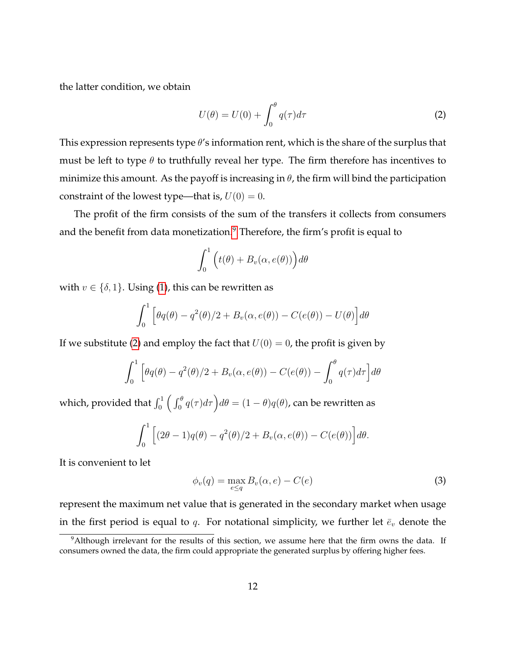the latter condition, we obtain

<span id="page-11-1"></span>
$$
U(\theta) = U(0) + \int_0^{\theta} q(\tau) d\tau
$$
\n(2)

This expression represents type  $\theta$ 's information rent, which is the share of the surplus that must be left to type  $\theta$  to truthfully reveal her type. The firm therefore has incentives to minimize this amount. As the payoff is increasing in  $\theta$ , the firm will bind the participation constraint of the lowest type—that is,  $U(0) = 0$ .

The profit of the firm consists of the sum of the transfers it collects from consumers and the benefit from data monetization.<sup>[9](#page-11-0)</sup> Therefore, the firm's profit is equal to

$$
\int_0^1 \Big( t(\theta) + B_v(\alpha, e(\theta)) \Big) d\theta
$$

with  $v \in \{\delta, 1\}$ . Using [\(1\)](#page-10-0), this can be rewritten as

$$
\int_0^1 \left[ \theta q(\theta) - q^2(\theta)/2 + B_v(\alpha, e(\theta)) - C(e(\theta)) - U(\theta) \right] d\theta
$$

If we substitute [\(2\)](#page-11-1) and employ the fact that  $U(0) = 0$ , the profit is given by

$$
\int_0^1 \left[ \theta q(\theta) - q^2(\theta)/2 + B_v(\alpha, e(\theta)) - C(e(\theta)) - \int_0^{\theta} q(\tau) d\tau \right] d\theta
$$

which, provided that  $\int_0^1\Big(\int_0^\theta q(\tau)d\tau\Big)d\theta=(1-\theta)q(\theta)$ , can be rewritten as

<span id="page-11-2"></span>
$$
\int_0^1 \left[ (2\theta - 1)q(\theta) - q^2(\theta)/2 + B_v(\alpha, e(\theta)) - C(e(\theta)) \right] d\theta.
$$

It is convenient to let

$$
\phi_v(q) = \max_{e \le q} B_v(\alpha, e) - C(e)
$$
\n(3)

represent the maximum net value that is generated in the secondary market when usage in the first period is equal to q. For notational simplicity, we further let  $\bar{e}_v$  denote the

<span id="page-11-0"></span><sup>&</sup>lt;sup>9</sup>Although irrelevant for the results of this section, we assume here that the firm owns the data. If consumers owned the data, the firm could appropriate the generated surplus by offering higher fees.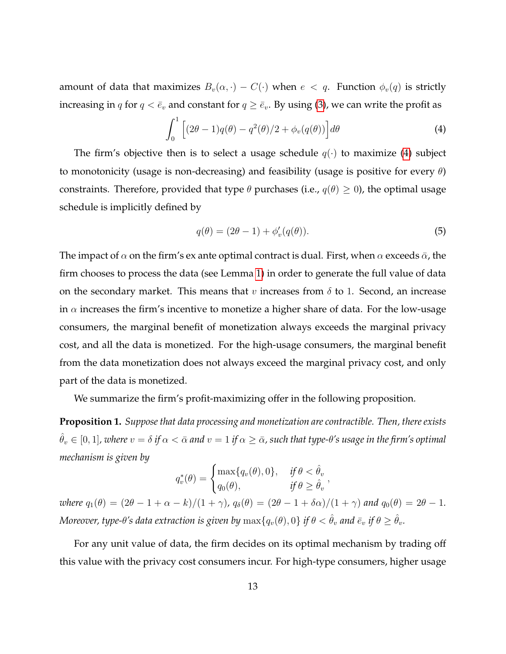amount of data that maximizes  $B_v(\alpha, \cdot) - C(\cdot)$  when  $e < q$ . Function  $\phi_v(q)$  is strictly increasing in q for  $q < \bar{e}_v$  and constant for  $q \geq \bar{e}_v$ . By using [\(3\)](#page-11-2), we can write the profit as

<span id="page-12-0"></span>
$$
\int_0^1 \left[ (2\theta - 1)q(\theta) - q^2(\theta)/2 + \phi_v(q(\theta)) \right] d\theta \tag{4}
$$

The firm's objective then is to select a usage schedule  $q(\cdot)$  to maximize [\(4\)](#page-12-0) subject to monotonicity (usage is non-decreasing) and feasibility (usage is positive for every  $\theta$ ) constraints. Therefore, provided that type  $\theta$  purchases (i.e.,  $q(\theta) \ge 0$ ), the optimal usage schedule is implicitly defined by

<span id="page-12-2"></span>
$$
q(\theta) = (2\theta - 1) + \phi'_v(q(\theta)).
$$
\n(5)

The impact of  $\alpha$  on the firm's ex ante optimal contract is dual. First, when  $\alpha$  exceeds  $\bar{\alpha}$ , the firm chooses to process the data (see Lemma [1\)](#page-10-1) in order to generate the full value of data on the secondary market. This means that v increases from  $\delta$  to 1. Second, an increase in  $\alpha$  increases the firm's incentive to monetize a higher share of data. For the low-usage consumers, the marginal benefit of monetization always exceeds the marginal privacy cost, and all the data is monetized. For the high-usage consumers, the marginal benefit from the data monetization does not always exceed the marginal privacy cost, and only part of the data is monetized.

We summarize the firm's profit-maximizing offer in the following proposition.

<span id="page-12-1"></span>**Proposition 1.** *Suppose that data processing and monetization are contractible. Then, there exists*  $\hat{\theta}_v \in [0,1]$ , where  $v = \delta$  if  $\alpha < \bar{\alpha}$  and  $v = 1$  if  $\alpha \geq \bar{\alpha}$ , such that type- $\theta$ 's usage in the firm's optimal *mechanism is given by*

$$
q_v^*(\theta) = \begin{cases} \max\{q_v(\theta), 0\}, & \text{if } \theta < \hat{\theta}_v \\ q_0(\theta), & \text{if } \theta \ge \hat{\theta}_v \end{cases},
$$

*where*  $q_1(\theta) = (2\theta - 1 + \alpha - k)/(1 + \gamma)$ ,  $q_\delta(\theta) = (2\theta - 1 + \delta \alpha)/(1 + \gamma)$  and  $q_0(\theta) = 2\theta - 1$ . *Moreover, type-* $\theta$ *'s data extraction is given by*  $\max\{q_v(\theta), 0\}$  *if*  $\theta < \hat{\theta}_v$  *and*  $\bar{e}_v$  *if*  $\theta \geq \hat{\theta}_v$ *.* 

For any unit value of data, the firm decides on its optimal mechanism by trading off this value with the privacy cost consumers incur. For high-type consumers, higher usage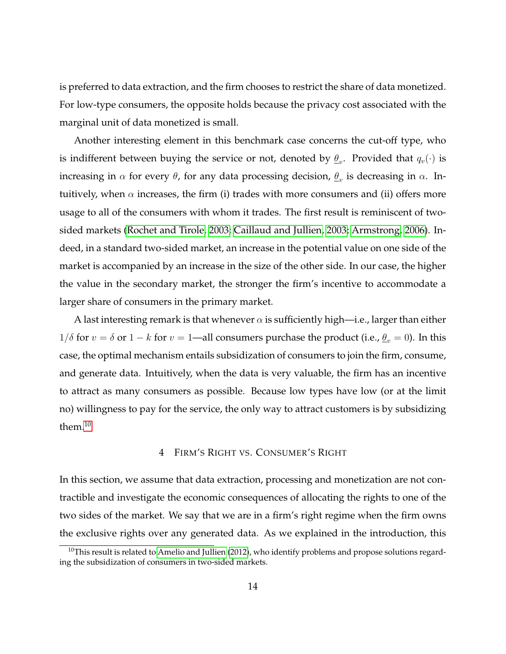is preferred to data extraction, and the firm chooses to restrict the share of data monetized. For low-type consumers, the opposite holds because the privacy cost associated with the marginal unit of data monetized is small.

Another interesting element in this benchmark case concerns the cut-off type, who is indifferent between buying the service or not, denoted by  $\underline{\theta}_v.$  Provided that  $q_v(\cdot)$  is increasing in  $\alpha$  for every  $\theta$ , for any data processing decision,  $\underline{\theta}_v$  is decreasing in  $\alpha$ . Intuitively, when  $\alpha$  increases, the firm (i) trades with more consumers and (ii) offers more usage to all of the consumers with whom it trades. The first result is reminiscent of twosided markets [\(Rochet and Tirole, 2003;](#page-48-3) [Caillaud and Jullien, 2003;](#page-46-6) [Armstrong, 2006\)](#page-46-3). Indeed, in a standard two-sided market, an increase in the potential value on one side of the market is accompanied by an increase in the size of the other side. In our case, the higher the value in the secondary market, the stronger the firm's incentive to accommodate a larger share of consumers in the primary market.

A last interesting remark is that whenever  $\alpha$  is sufficiently high—i.e., larger than either  $1/\delta$  for  $v = \delta$  or  $1 - k$  for  $v = 1$ —all consumers purchase the product (i.e.,  $\theta_v = 0$ ). In this case, the optimal mechanism entails subsidization of consumers to join the firm, consume, and generate data. Intuitively, when the data is very valuable, the firm has an incentive to attract as many consumers as possible. Because low types have low (or at the limit no) willingness to pay for the service, the only way to attract customers is by subsidizing them. $10$ 

## 4 FIRM'S RIGHT VS. CONSUMER'S RIGHT

<span id="page-13-0"></span>In this section, we assume that data extraction, processing and monetization are not contractible and investigate the economic consequences of allocating the rights to one of the two sides of the market. We say that we are in a firm's right regime when the firm owns the exclusive rights over any generated data. As we explained in the introduction, this

<span id="page-13-1"></span> $10$ This result is related to [Amelio and Jullien](#page-46-7) [\(2012\)](#page-46-7), who identify problems and propose solutions regarding the subsidization of consumers in two-sided markets.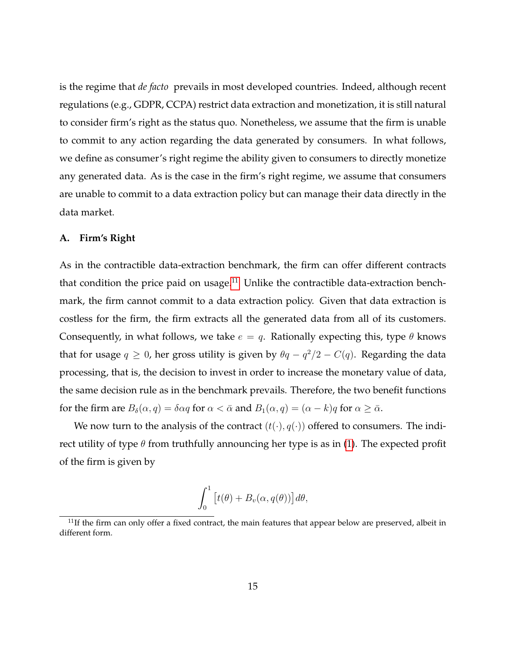is the regime that *de facto* prevails in most developed countries. Indeed, although recent regulations (e.g., GDPR, CCPA) restrict data extraction and monetization, it is still natural to consider firm's right as the status quo. Nonetheless, we assume that the firm is unable to commit to any action regarding the data generated by consumers. In what follows, we define as consumer's right regime the ability given to consumers to directly monetize any generated data. As is the case in the firm's right regime, we assume that consumers are unable to commit to a data extraction policy but can manage their data directly in the data market.

## **A. Firm's Right**

As in the contractible data-extraction benchmark, the firm can offer different contracts that condition the price paid on usage. $11$  Unlike the contractible data-extraction benchmark, the firm cannot commit to a data extraction policy. Given that data extraction is costless for the firm, the firm extracts all the generated data from all of its customers. Consequently, in what follows, we take  $e = q$ . Rationally expecting this, type  $\theta$  knows that for usage  $q \geq 0$ , her gross utility is given by  $\theta q - q^2/2 - C(q)$ . Regarding the data processing, that is, the decision to invest in order to increase the monetary value of data, the same decision rule as in the benchmark prevails. Therefore, the two benefit functions for the firm are  $B_\delta(\alpha, q) = \delta \alpha q$  for  $\alpha < \bar{\alpha}$  and  $B_1(\alpha, q) = (\alpha - k)q$  for  $\alpha \ge \bar{\alpha}$ .

We now turn to the analysis of the contract  $(t(\cdot), q(\cdot))$  offered to consumers. The indirect utility of type  $\theta$  from truthfully announcing her type is as in [\(1\)](#page-10-0). The expected profit of the firm is given by

$$
\int_0^1 \left[ t(\theta) + B_v(\alpha, q(\theta)) \right] d\theta,
$$

<span id="page-14-0"></span> $11$ If the firm can only offer a fixed contract, the main features that appear below are preserved, albeit in different form.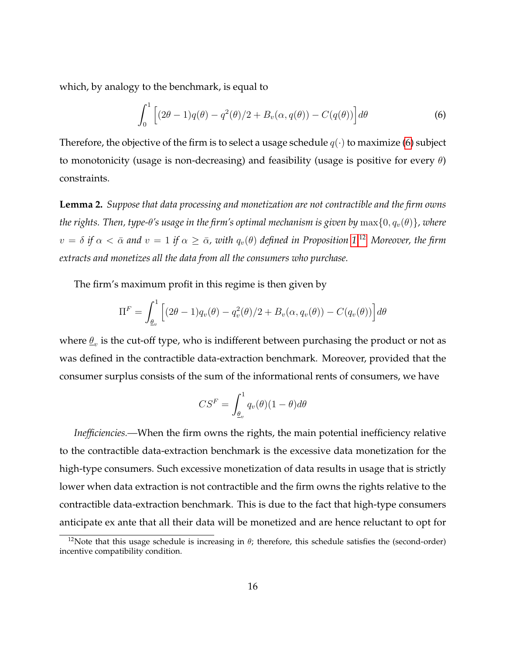which, by analogy to the benchmark, is equal to

<span id="page-15-0"></span>
$$
\int_0^1 \left[ (2\theta - 1)q(\theta) - q^2(\theta)/2 + B_v(\alpha, q(\theta)) - C(q(\theta)) \right] d\theta \tag{6}
$$

Therefore, the objective of the firm is to select a usage schedule  $q(\cdot)$  to maximize [\(6\)](#page-15-0) subject to monotonicity (usage is non-decreasing) and feasibility (usage is positive for every  $\theta$ ) constraints.

<span id="page-15-2"></span>**Lemma 2.** *Suppose that data processing and monetization are not contractible and the firm owns the rights. Then, type-* $\theta$ *'s usage in the firm's optimal mechanism is given by*  $\max\{0, q_v(\theta)\}\$ , where  $v = \delta$  *if*  $\alpha < \bar{\alpha}$  and  $v = 1$  *if*  $\alpha \geq \bar{\alpha}$ , with  $q_v(\theta)$  defined in Proposition [1.](#page-12-1)<sup>[12](#page-15-1)</sup> Moreover, the firm *extracts and monetizes all the data from all the consumers who purchase.*

The firm's maximum profit in this regime is then given by

$$
\Pi^F = \int_{\underline{\theta}_v}^1 \left[ (2\theta - 1) q_v(\theta) - q_v^2(\theta)/2 + B_v(\alpha, q_v(\theta)) - C(q_v(\theta)) \right] d\theta
$$

where  $\underline{\theta}_v$  is the cut-off type, who is indifferent between purchasing the product or not as was defined in the contractible data-extraction benchmark. Moreover, provided that the consumer surplus consists of the sum of the informational rents of consumers, we have

$$
CS^{F} = \int_{\underline{\theta}_{v}}^{1} q_{v}(\theta)(1 - \theta)d\theta
$$

*Inefficiencies.—*When the firm owns the rights, the main potential inefficiency relative to the contractible data-extraction benchmark is the excessive data monetization for the high-type consumers. Such excessive monetization of data results in usage that is strictly lower when data extraction is not contractible and the firm owns the rights relative to the contractible data-extraction benchmark. This is due to the fact that high-type consumers anticipate ex ante that all their data will be monetized and are hence reluctant to opt for

<span id="page-15-1"></span><sup>&</sup>lt;sup>12</sup>Note that this usage schedule is increasing in  $\theta$ ; therefore, this schedule satisfies the (second-order) incentive compatibility condition.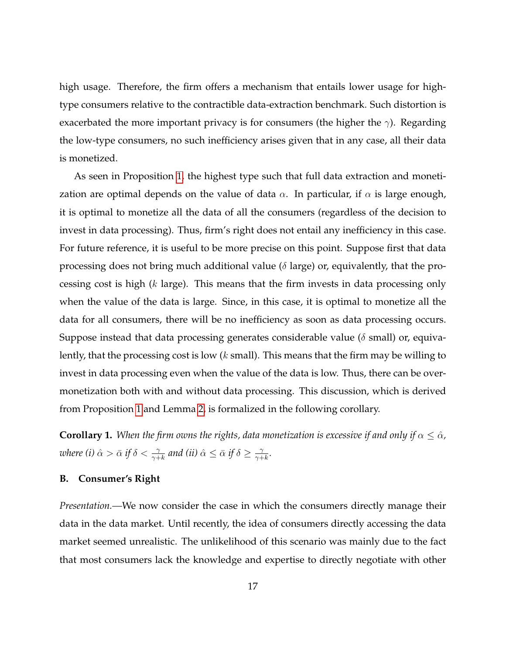high usage. Therefore, the firm offers a mechanism that entails lower usage for hightype consumers relative to the contractible data-extraction benchmark. Such distortion is exacerbated the more important privacy is for consumers (the higher the  $\gamma$ ). Regarding the low-type consumers, no such inefficiency arises given that in any case, all their data is monetized.

As seen in Proposition [1,](#page-12-1) the highest type such that full data extraction and monetization are optimal depends on the value of data  $\alpha$ . In particular, if  $\alpha$  is large enough, it is optimal to monetize all the data of all the consumers (regardless of the decision to invest in data processing). Thus, firm's right does not entail any inefficiency in this case. For future reference, it is useful to be more precise on this point. Suppose first that data processing does not bring much additional value ( $\delta$  large) or, equivalently, that the processing cost is high (k large). This means that the firm invests in data processing only when the value of the data is large. Since, in this case, it is optimal to monetize all the data for all consumers, there will be no inefficiency as soon as data processing occurs. Suppose instead that data processing generates considerable value ( $\delta$  small) or, equivalently, that the processing cost is low  $(k \text{ small})$ . This means that the firm may be willing to invest in data processing even when the value of the data is low. Thus, there can be overmonetization both with and without data processing. This discussion, which is derived from Proposition [1](#page-12-1) and Lemma [2,](#page-15-2) is formalized in the following corollary.

<span id="page-16-0"></span>**Corollary 1.** *When the firm owns the rights, data monetization is excessive if and only if*  $\alpha \leq \hat{\alpha}$ *,* where (i)  $\hat{\alpha} > \bar{\alpha}$  if  $\delta < \frac{\gamma}{\gamma + k}$  and (ii)  $\hat{\alpha} \leq \bar{\alpha}$  if  $\delta \geq \frac{\gamma}{\gamma + k}$  $\frac{\gamma}{\gamma+k}.$ 

# **B. Consumer's Right**

*Presentation.—*We now consider the case in which the consumers directly manage their data in the data market. Until recently, the idea of consumers directly accessing the data market seemed unrealistic. The unlikelihood of this scenario was mainly due to the fact that most consumers lack the knowledge and expertise to directly negotiate with other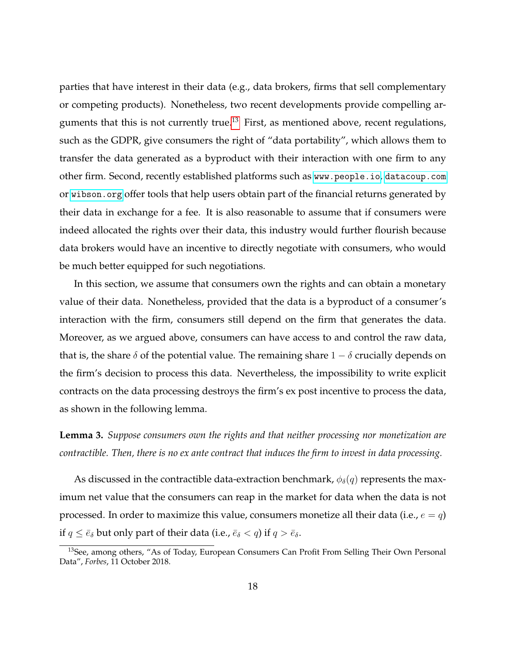parties that have interest in their data (e.g., data brokers, firms that sell complementary or competing products). Nonetheless, two recent developments provide compelling ar-guments that this is not currently true.<sup>[13](#page-17-0)</sup> First, as mentioned above, recent regulations, such as the GDPR, give consumers the right of "data portability", which allows them to transfer the data generated as a byproduct with their interaction with one firm to any other firm. Second, recently established platforms such as <www.people.io>, <datacoup.com> or <wibson.org> offer tools that help users obtain part of the financial returns generated by their data in exchange for a fee. It is also reasonable to assume that if consumers were indeed allocated the rights over their data, this industry would further flourish because data brokers would have an incentive to directly negotiate with consumers, who would be much better equipped for such negotiations.

In this section, we assume that consumers own the rights and can obtain a monetary value of their data. Nonetheless, provided that the data is a byproduct of a consumer's interaction with the firm, consumers still depend on the firm that generates the data. Moreover, as we argued above, consumers can have access to and control the raw data, that is, the share  $\delta$  of the potential value. The remaining share  $1 - \delta$  crucially depends on the firm's decision to process this data. Nevertheless, the impossibility to write explicit contracts on the data processing destroys the firm's ex post incentive to process the data, as shown in the following lemma.

<span id="page-17-1"></span>**Lemma 3.** *Suppose consumers own the rights and that neither processing nor monetization are contractible. Then, there is no ex ante contract that induces the firm to invest in data processing.*

As discussed in the contractible data-extraction benchmark,  $\phi_{\delta}(q)$  represents the maximum net value that the consumers can reap in the market for data when the data is not processed. In order to maximize this value, consumers monetize all their data (i.e.,  $e = q$ ) if  $q \leq \bar{e}_\delta$  but only part of their data (i.e.,  $\bar{e}_\delta < q$ ) if  $q > \bar{e}_\delta$ .

<span id="page-17-0"></span><sup>&</sup>lt;sup>13</sup>See, among others, "As of Today, European Consumers Can Profit From Selling Their Own Personal Data", *Forbes*, 11 October 2018.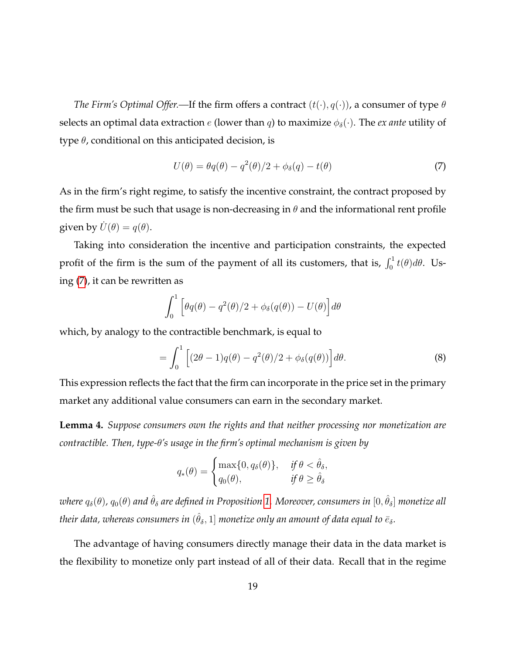*The Firm's Optimal Offer.—If the firm offers a contract*  $(t(\cdot), q(\cdot))$ , a consumer of type  $\theta$ selects an optimal data extraction  $e$  (lower than  $q$ ) to maximize  $\phi_{\delta}(\cdot)$ . The *ex ante* utility of type  $\theta$ , conditional on this anticipated decision, is

<span id="page-18-0"></span>
$$
U(\theta) = \theta q(\theta) - q^2(\theta)/2 + \phi_\delta(q) - t(\theta)
$$
\n(7)

As in the firm's right regime, to satisfy the incentive constraint, the contract proposed by the firm must be such that usage is non-decreasing in  $\theta$  and the informational rent profile given by  $\dot{U}(\theta) = q(\theta)$ .

Taking into consideration the incentive and participation constraints, the expected profit of the firm is the sum of the payment of all its customers, that is,  $\int_0^1 t(\theta) d\theta$ . Using [\(7\)](#page-18-0), it can be rewritten as

<span id="page-18-2"></span>
$$
\int_0^1 \left[ \theta q(\theta) - q^2(\theta)/2 + \phi_\delta(q(\theta)) - U(\theta) \right] d\theta
$$

which, by analogy to the contractible benchmark, is equal to

$$
= \int_0^1 \left[ (2\theta - 1)q(\theta) - q^2(\theta)/2 + \phi_\delta(q(\theta)) \right] d\theta.
$$
 (8)

This expression reflects the fact that the firm can incorporate in the price set in the primary market any additional value consumers can earn in the secondary market.

<span id="page-18-1"></span>**Lemma 4.** *Suppose consumers own the rights and that neither processing nor monetization are contractible. Then, type-*θ*'s usage in the firm's optimal mechanism is given by*

$$
q_*(\theta) = \begin{cases} \max\{0, q_\delta(\theta)\}, & \text{if } \theta < \hat{\theta}_\delta, \\ q_0(\theta), & \text{if } \theta \ge \hat{\theta}_\delta \end{cases}
$$

 $w$ here  $q_\delta(\theta)$ ,  $q_0(\theta)$  and  $\hat{\theta}_\delta$  are defined in Proposition [1.](#page-12-1) Moreover, consumers in  $[0,\hat{\theta}_\delta]$  monetize all their data, whereas consumers in  $(\hat{\theta}_\delta, 1]$  monetize only an amount of data equal to  $\bar{e}_\delta.$ 

The advantage of having consumers directly manage their data in the data market is the flexibility to monetize only part instead of all of their data. Recall that in the regime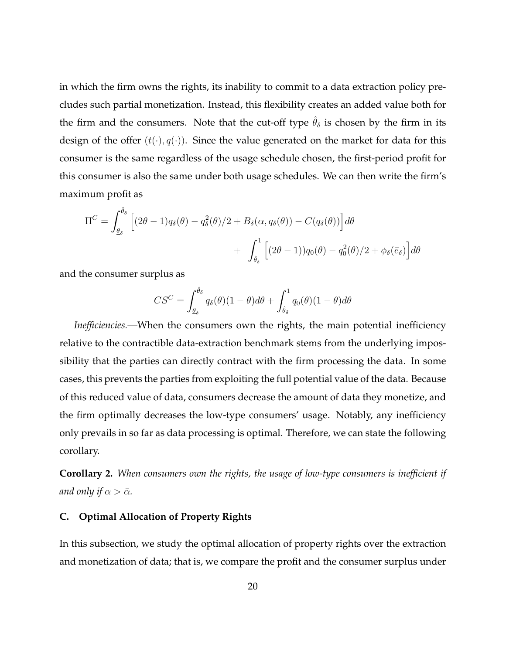in which the firm owns the rights, its inability to commit to a data extraction policy precludes such partial monetization. Instead, this flexibility creates an added value both for the firm and the consumers. Note that the cut-off type  $\hat{\theta}_{\delta}$  is chosen by the firm in its design of the offer  $(t(\cdot), q(\cdot))$ . Since the value generated on the market for data for this consumer is the same regardless of the usage schedule chosen, the first-period profit for this consumer is also the same under both usage schedules. We can then write the firm's maximum profit as

$$
\Pi^{C} = \int_{\theta_{\delta}}^{\hat{\theta}_{\delta}} \left[ (2\theta - 1) q_{\delta}(\theta) - q_{\delta}^{2}(\theta)/2 + B_{\delta}(\alpha, q_{\delta}(\theta)) - C(q_{\delta}(\theta)) \right] d\theta
$$

$$
+ \int_{\hat{\theta}_{\delta}}^{1} \left[ (2\theta - 1) q_{0}(\theta) - q_{0}^{2}(\theta)/2 + \phi_{\delta}(\bar{e}_{\delta}) \right] d\theta
$$

and the consumer surplus as

$$
CS^{C} = \int_{\underline{\theta}_{\delta}}^{\hat{\theta}_{\delta}} q_{\delta}(\theta)(1-\theta)d\theta + \int_{\hat{\theta}_{\delta}}^{1} q_{0}(\theta)(1-\theta)d\theta
$$

*Inefficiencies.—*When the consumers own the rights, the main potential inefficiency relative to the contractible data-extraction benchmark stems from the underlying impossibility that the parties can directly contract with the firm processing the data. In some cases, this prevents the parties from exploiting the full potential value of the data. Because of this reduced value of data, consumers decrease the amount of data they monetize, and the firm optimally decreases the low-type consumers' usage. Notably, any inefficiency only prevails in so far as data processing is optimal. Therefore, we can state the following corollary.

<span id="page-19-0"></span>**Corollary 2.** *When consumers own the rights, the usage of low-type consumers is inefficient if and only if*  $\alpha > \bar{\alpha}$ *.* 

#### **C. Optimal Allocation of Property Rights**

In this subsection, we study the optimal allocation of property rights over the extraction and monetization of data; that is, we compare the profit and the consumer surplus under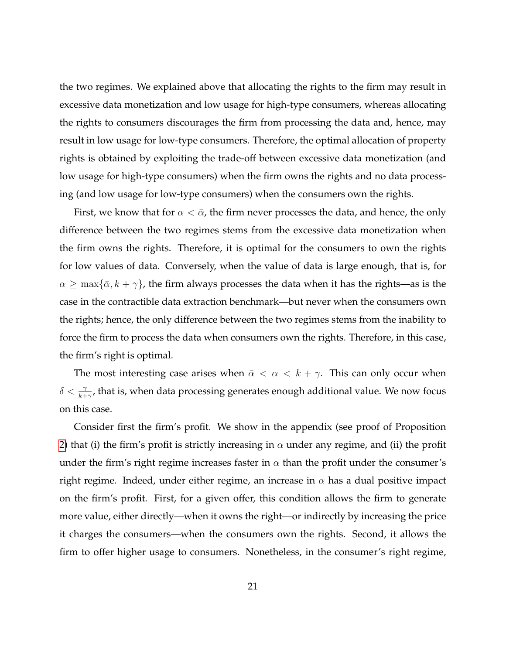the two regimes. We explained above that allocating the rights to the firm may result in excessive data monetization and low usage for high-type consumers, whereas allocating the rights to consumers discourages the firm from processing the data and, hence, may result in low usage for low-type consumers. Therefore, the optimal allocation of property rights is obtained by exploiting the trade-off between excessive data monetization (and low usage for high-type consumers) when the firm owns the rights and no data processing (and low usage for low-type consumers) when the consumers own the rights.

First, we know that for  $\alpha < \bar{\alpha}$ , the firm never processes the data, and hence, the only difference between the two regimes stems from the excessive data monetization when the firm owns the rights. Therefore, it is optimal for the consumers to own the rights for low values of data. Conversely, when the value of data is large enough, that is, for  $\alpha \ge \max\{\bar{\alpha}, k + \gamma\}$ , the firm always processes the data when it has the rights—as is the case in the contractible data extraction benchmark—but never when the consumers own the rights; hence, the only difference between the two regimes stems from the inability to force the firm to process the data when consumers own the rights. Therefore, in this case, the firm's right is optimal.

The most interesting case arises when  $\bar{\alpha} < \alpha < k + \gamma$ . This can only occur when  $\delta < \frac{\gamma}{k+\gamma'}$ , that is, when data processing generates enough additional value. We now focus on this case.

Consider first the firm's profit. We show in the appendix (see proof of Proposition [2\)](#page-22-0) that (i) the firm's profit is strictly increasing in  $\alpha$  under any regime, and (ii) the profit under the firm's right regime increases faster in  $\alpha$  than the profit under the consumer's right regime. Indeed, under either regime, an increase in  $\alpha$  has a dual positive impact on the firm's profit. First, for a given offer, this condition allows the firm to generate more value, either directly—when it owns the right—or indirectly by increasing the price it charges the consumers—when the consumers own the rights. Second, it allows the firm to offer higher usage to consumers. Nonetheless, in the consumer's right regime,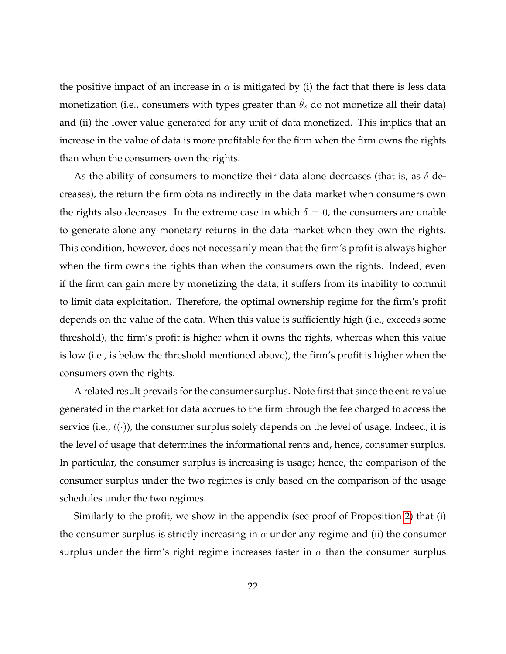the positive impact of an increase in  $\alpha$  is mitigated by (i) the fact that there is less data monetization (i.e., consumers with types greater than  $\hat{\theta}_{\delta}$  do not monetize all their data) and (ii) the lower value generated for any unit of data monetized. This implies that an increase in the value of data is more profitable for the firm when the firm owns the rights than when the consumers own the rights.

As the ability of consumers to monetize their data alone decreases (that is, as  $\delta$  decreases), the return the firm obtains indirectly in the data market when consumers own the rights also decreases. In the extreme case in which  $\delta = 0$ , the consumers are unable to generate alone any monetary returns in the data market when they own the rights. This condition, however, does not necessarily mean that the firm's profit is always higher when the firm owns the rights than when the consumers own the rights. Indeed, even if the firm can gain more by monetizing the data, it suffers from its inability to commit to limit data exploitation. Therefore, the optimal ownership regime for the firm's profit depends on the value of the data. When this value is sufficiently high (i.e., exceeds some threshold), the firm's profit is higher when it owns the rights, whereas when this value is low (i.e., is below the threshold mentioned above), the firm's profit is higher when the consumers own the rights.

A related result prevails for the consumer surplus. Note first that since the entire value generated in the market for data accrues to the firm through the fee charged to access the service (i.e.,  $t(\cdot)$ ), the consumer surplus solely depends on the level of usage. Indeed, it is the level of usage that determines the informational rents and, hence, consumer surplus. In particular, the consumer surplus is increasing is usage; hence, the comparison of the consumer surplus under the two regimes is only based on the comparison of the usage schedules under the two regimes.

Similarly to the profit, we show in the appendix (see proof of Proposition [2\)](#page-22-0) that (i) the consumer surplus is strictly increasing in  $\alpha$  under any regime and (ii) the consumer surplus under the firm's right regime increases faster in  $\alpha$  than the consumer surplus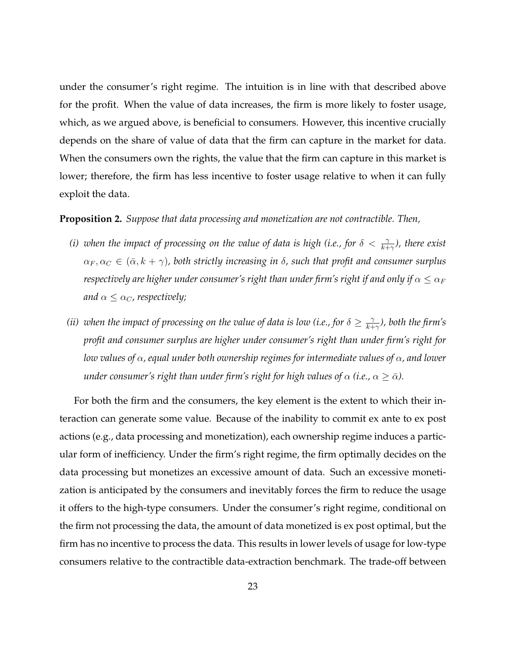under the consumer's right regime. The intuition is in line with that described above for the profit. When the value of data increases, the firm is more likely to foster usage, which, as we argued above, is beneficial to consumers. However, this incentive crucially depends on the share of value of data that the firm can capture in the market for data. When the consumers own the rights, the value that the firm can capture in this market is lower; therefore, the firm has less incentive to foster usage relative to when it can fully exploit the data.

# <span id="page-22-0"></span>**Proposition 2.** *Suppose that data processing and monetization are not contractible. Then,*

- *(i)* when the impact of processing on the value of data is high (i.e., for  $\delta < \frac{\gamma}{k+\gamma}$ ), there exist  $\alpha_F, \alpha_C \in (\bar{\alpha}, k + \gamma)$ , both strictly increasing in  $\delta$ , such that profit and consumer surplus *respectively are higher under consumer's right than under firm's right if and only if*  $\alpha \leq \alpha_F$ *and*  $\alpha \leq \alpha_C$ , respectively;
- (*ii*) when the impact of processing on the value of data is low (*i.e.*, for  $\delta \geq \frac{\gamma}{k+1}$ k+γ *), both the firm's profit and consumer surplus are higher under consumer's right than under firm's right for low values of* α*, equal under both ownership regimes for intermediate values of* α*, and lower under consumer's right than under firm's right for high values of*  $\alpha$  *(i.e.,*  $\alpha \geq \bar{\alpha}$ *).*

For both the firm and the consumers, the key element is the extent to which their interaction can generate some value. Because of the inability to commit ex ante to ex post actions (e.g., data processing and monetization), each ownership regime induces a particular form of inefficiency. Under the firm's right regime, the firm optimally decides on the data processing but monetizes an excessive amount of data. Such an excessive monetization is anticipated by the consumers and inevitably forces the firm to reduce the usage it offers to the high-type consumers. Under the consumer's right regime, conditional on the firm not processing the data, the amount of data monetized is ex post optimal, but the firm has no incentive to process the data. This results in lower levels of usage for low-type consumers relative to the contractible data-extraction benchmark. The trade-off between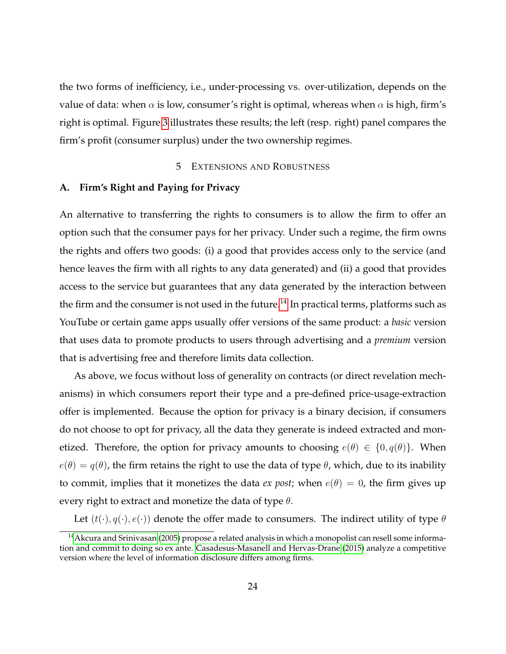the two forms of inefficiency, i.e., under-processing vs. over-utilization, depends on the value of data: when  $\alpha$  is low, consumer's right is optimal, whereas when  $\alpha$  is high, firm's right is optimal. Figure [3](#page-49-0) illustrates these results; the left (resp. right) panel compares the firm's profit (consumer surplus) under the two ownership regimes.

## 5 EXTENSIONS AND ROBUSTNESS

## <span id="page-23-0"></span>**A. Firm's Right and Paying for Privacy**

An alternative to transferring the rights to consumers is to allow the firm to offer an option such that the consumer pays for her privacy. Under such a regime, the firm owns the rights and offers two goods: (i) a good that provides access only to the service (and hence leaves the firm with all rights to any data generated) and (ii) a good that provides access to the service but guarantees that any data generated by the interaction between the firm and the consumer is not used in the future.<sup>[14](#page-23-1)</sup> In practical terms, platforms such as YouTube or certain game apps usually offer versions of the same product: a *basic* version that uses data to promote products to users through advertising and a *premium* version that is advertising free and therefore limits data collection.

As above, we focus without loss of generality on contracts (or direct revelation mechanisms) in which consumers report their type and a pre-defined price-usage-extraction offer is implemented. Because the option for privacy is a binary decision, if consumers do not choose to opt for privacy, all the data they generate is indeed extracted and monetized. Therefore, the option for privacy amounts to choosing  $e(\theta) \in \{0, q(\theta)\}\$ . When  $e(\theta) = q(\theta)$ , the firm retains the right to use the data of type  $\theta$ , which, due to its inability to commit, implies that it monetizes the data *ex post*; when  $e(\theta) = 0$ , the firm gives up every right to extract and monetize the data of type  $\theta$ .

Let  $(t(\cdot), q(\cdot), e(\cdot))$  denote the offer made to consumers. The indirect utility of type  $\theta$ 

<span id="page-23-1"></span><sup>&</sup>lt;sup>14</sup> [Akcura and Srinivasan](#page-46-8) [\(2005\)](#page-46-8) propose a related analysis in which a monopolist can resell some information and commit to doing so ex ante. [Casadesus-Masanell and Hervas-Drane](#page-47-9) [\(2015\)](#page-47-9) analyze a competitive version where the level of information disclosure differs among firms.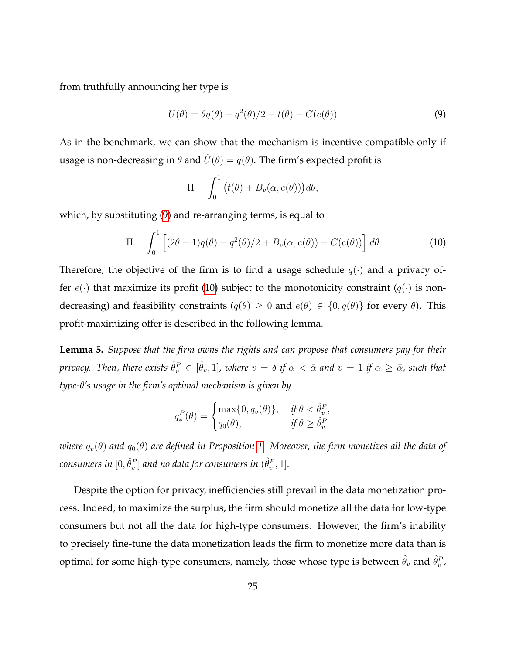from truthfully announcing her type is

<span id="page-24-0"></span>
$$
U(\theta) = \theta q(\theta) - q^2(\theta)/2 - t(\theta) - C(e(\theta))
$$
\n(9)

As in the benchmark, we can show that the mechanism is incentive compatible only if usage is non-decreasing in  $\theta$  and  $\dot{U}(\theta) = q(\theta)$ . The firm's expected profit is

<span id="page-24-1"></span>
$$
\Pi = \int_0^1 (t(\theta) + B_v(\alpha, e(\theta))) d\theta,
$$

which, by substituting [\(9\)](#page-24-0) and re-arranging terms, is equal to

$$
\Pi = \int_0^1 \left[ (2\theta - 1)q(\theta) - q^2(\theta)/2 + B_v(\alpha, e(\theta)) - C(e(\theta)) \right] d\theta \tag{10}
$$

Therefore, the objective of the firm is to find a usage schedule  $q(\cdot)$  and a privacy offer  $e(\cdot)$  that maximize its profit [\(10\)](#page-24-1) subject to the monotonicity constraint  $(q(\cdot))$  is nondecreasing) and feasibility constraints  $(q(\theta) \geq 0$  and  $e(\theta) \in \{0, q(\theta)\}\$  for every  $\theta$ ). This profit-maximizing offer is described in the following lemma.

<span id="page-24-2"></span>**Lemma 5.** *Suppose that the firm owns the rights and can propose that consumers pay for their*  $p$ rivacy. Then, there exists  $\hat{\theta}^P_v \in [\hat{\theta}_v,1]$ , where  $v=\delta$  if  $\alpha<\bar{\alpha}$  and  $v=1$  if  $\alpha\geq\bar{\alpha}$ , such that *type-*θ*'s usage in the firm's optimal mechanism is given by*

$$
q_*^P(\theta) = \begin{cases} \max\{0, q_v(\theta)\}, & \text{if } \theta < \hat{\theta}_v^P, \\ q_0(\theta), & \text{if } \theta \ge \hat{\theta}_v^P. \end{cases}
$$

*where*  $q_v(\theta)$  *and*  $q_0(\theta)$  *are defined in Proposition* [1.](#page-12-1) Moreover, the firm monetizes all the data of  $\emph{consumers in}~[0,\hat{\theta}^{P}_{v}]$  and no data for consumers in  $(\hat{\theta}^{P}_{v},1].$ 

Despite the option for privacy, inefficiencies still prevail in the data monetization process. Indeed, to maximize the surplus, the firm should monetize all the data for low-type consumers but not all the data for high-type consumers. However, the firm's inability to precisely fine-tune the data monetization leads the firm to monetize more data than is optimal for some high-type consumers, namely, those whose type is between  $\hat{\theta}_v$  and  $\hat{\theta}_v^P$ ,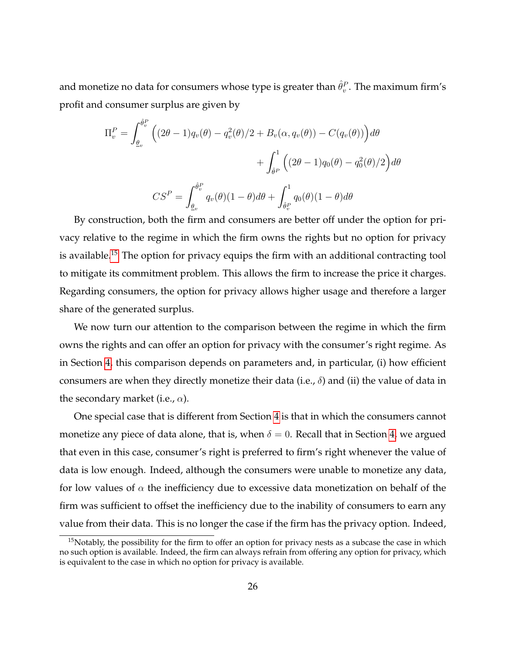and monetize no data for consumers whose type is greater than  $\hat{\theta}^P_v.$  The maximum firm's profit and consumer surplus are given by

$$
\Pi_v^P = \int_{\underline{\theta}_v}^{\hat{\theta}_v^P} \left( (2\theta - 1) q_v(\theta) - q_v^2(\theta)/2 + B_v(\alpha, q_v(\theta)) - C(q_v(\theta)) \right) d\theta
$$

$$
+ \int_{\hat{\theta}^P}^1 \left( (2\theta - 1) q_0(\theta) - q_0^2(\theta)/2 \right) d\theta
$$

$$
CS^P = \int_{\underline{\theta}_v}^{\hat{\theta}_v^P} q_v(\theta) (1 - \theta) d\theta + \int_{\hat{\theta}_v^P}^1 q_0(\theta) (1 - \theta) d\theta
$$

By construction, both the firm and consumers are better off under the option for privacy relative to the regime in which the firm owns the rights but no option for privacy is available.[15](#page-25-0) The option for privacy equips the firm with an additional contracting tool to mitigate its commitment problem. This allows the firm to increase the price it charges. Regarding consumers, the option for privacy allows higher usage and therefore a larger share of the generated surplus.

We now turn our attention to the comparison between the regime in which the firm owns the rights and can offer an option for privacy with the consumer's right regime. As in Section [4,](#page-13-0) this comparison depends on parameters and, in particular, (i) how efficient consumers are when they directly monetize their data (i.e.,  $\delta$ ) and (ii) the value of data in the secondary market (i.e.,  $\alpha$ ).

One special case that is different from Section [4](#page-13-0) is that in which the consumers cannot monetize any piece of data alone, that is, when  $\delta = 0$ . Recall that in Section [4,](#page-13-0) we argued that even in this case, consumer's right is preferred to firm's right whenever the value of data is low enough. Indeed, although the consumers were unable to monetize any data, for low values of  $\alpha$  the inefficiency due to excessive data monetization on behalf of the firm was sufficient to offset the inefficiency due to the inability of consumers to earn any value from their data. This is no longer the case if the firm has the privacy option. Indeed,

<span id="page-25-0"></span><sup>&</sup>lt;sup>15</sup>Notably, the possibility for the firm to offer an option for privacy nests as a subcase the case in which no such option is available. Indeed, the firm can always refrain from offering any option for privacy, which is equivalent to the case in which no option for privacy is available.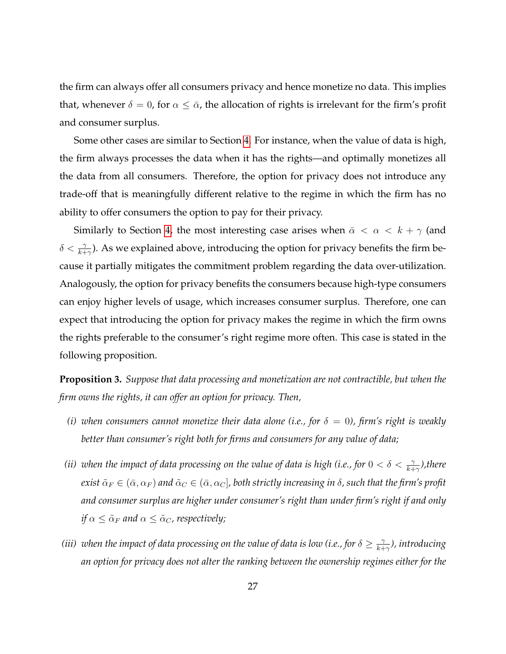the firm can always offer all consumers privacy and hence monetize no data. This implies that, whenever  $\delta = 0$ , for  $\alpha \leq \bar{\alpha}$ , the allocation of rights is irrelevant for the firm's profit and consumer surplus.

Some other cases are similar to Section [4.](#page-13-0) For instance, when the value of data is high, the firm always processes the data when it has the rights—and optimally monetizes all the data from all consumers. Therefore, the option for privacy does not introduce any trade-off that is meaningfully different relative to the regime in which the firm has no ability to offer consumers the option to pay for their privacy.

Similarly to Section [4,](#page-13-0) the most interesting case arises when  $\bar{\alpha} < \alpha < k + \gamma$  (and  $\delta < \frac{\gamma}{k+\gamma}$ ). As we explained above, introducing the option for privacy benefits the firm because it partially mitigates the commitment problem regarding the data over-utilization. Analogously, the option for privacy benefits the consumers because high-type consumers can enjoy higher levels of usage, which increases consumer surplus. Therefore, one can expect that introducing the option for privacy makes the regime in which the firm owns the rights preferable to the consumer's right regime more often. This case is stated in the following proposition.

<span id="page-26-0"></span>**Proposition 3.** *Suppose that data processing and monetization are not contractible, but when the firm owns the rights, it can offer an option for privacy. Then,*

- *(i)* when consumers cannot monetize their data alone (i.e., for  $\delta = 0$ ), firm's right is weakly *better than consumer's right both for firms and consumers for any value of data;*
- *(ii)* when the impact of data processing on the value of data is high (i.e., for  $0 < \delta < \frac{\gamma}{k+\gamma}$ ), there *exist*  $\tilde{\alpha}_F \in (\bar{\alpha}, \alpha_F)$  *and*  $\tilde{\alpha}_C \in (\bar{\alpha}, \alpha_C]$ , both strictly increasing in  $\delta$ , such that the firm's profit *and consumer surplus are higher under consumer's right than under firm's right if and only if*  $\alpha \leq \tilde{\alpha}_F$  *and*  $\alpha \leq \tilde{\alpha}_C$ *, respectively;*
- *(iii)* when the impact of data processing on the value of data is low (i.e., for  $\delta \geq \frac{\gamma}{k+1}$ k+γ *), introducing an option for privacy does not alter the ranking between the ownership regimes either for the*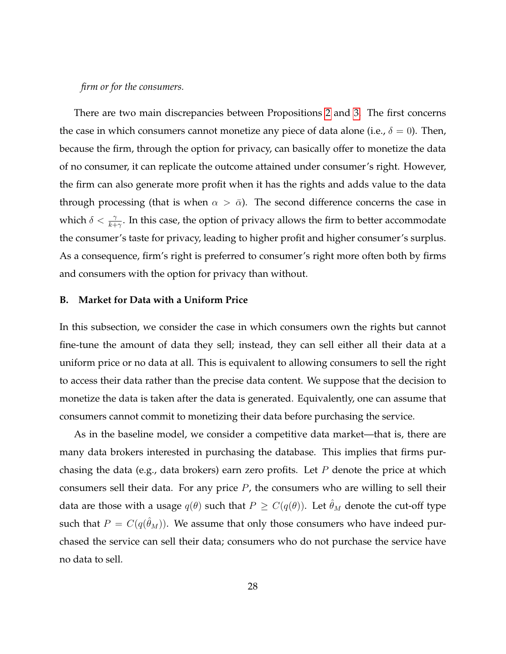# *firm or for the consumers.*

There are two main discrepancies between Propositions [2](#page-22-0) and [3.](#page-26-0) The first concerns the case in which consumers cannot monetize any piece of data alone (i.e.,  $\delta = 0$ ). Then, because the firm, through the option for privacy, can basically offer to monetize the data of no consumer, it can replicate the outcome attained under consumer's right. However, the firm can also generate more profit when it has the rights and adds value to the data through processing (that is when  $\alpha > \bar{\alpha}$ ). The second difference concerns the case in which  $\delta < \frac{\gamma}{k+\gamma}$ . In this case, the option of privacy allows the firm to better accommodate the consumer's taste for privacy, leading to higher profit and higher consumer's surplus. As a consequence, firm's right is preferred to consumer's right more often both by firms and consumers with the option for privacy than without.

# **B. Market for Data with a Uniform Price**

In this subsection, we consider the case in which consumers own the rights but cannot fine-tune the amount of data they sell; instead, they can sell either all their data at a uniform price or no data at all. This is equivalent to allowing consumers to sell the right to access their data rather than the precise data content. We suppose that the decision to monetize the data is taken after the data is generated. Equivalently, one can assume that consumers cannot commit to monetizing their data before purchasing the service.

As in the baseline model, we consider a competitive data market—that is, there are many data brokers interested in purchasing the database. This implies that firms purchasing the data (e.g., data brokers) earn zero profits. Let  $P$  denote the price at which consumers sell their data. For any price  $P$ , the consumers who are willing to sell their data are those with a usage  $q(\theta)$  such that  $P \geq C(q(\theta))$ . Let  $\hat{\theta}_M$  denote the cut-off type such that  $P = C(q(\hat{\theta}_M))$ . We assume that only those consumers who have indeed purchased the service can sell their data; consumers who do not purchase the service have no data to sell.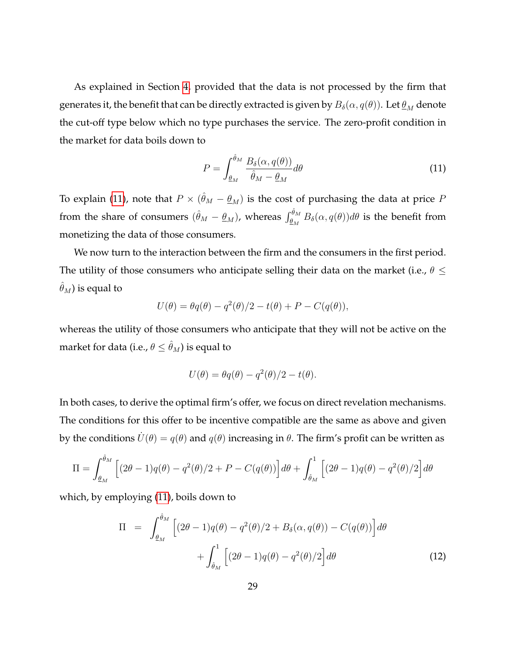As explained in Section [4,](#page-13-0) provided that the data is not processed by the firm that generates it, the benefit that can be directly extracted is given by  $B_\delta(\alpha, q(\theta))$ . Let  $\underline{\theta}_M$  denote the cut-off type below which no type purchases the service. The zero-profit condition in the market for data boils down to

<span id="page-28-0"></span>
$$
P = \int_{\underline{\theta}_M}^{\hat{\theta}_M} \frac{B_\delta(\alpha, q(\theta))}{\hat{\theta}_M - \underline{\theta}_M} d\theta \tag{11}
$$

To explain [\(11\)](#page-28-0), note that  $P\times(\hat\theta_M-\underline\theta_M)$  is the cost of purchasing the data at price  $P$ from the share of consumers  $(\hat{\theta}_M-\underline{\theta}_M)$ , whereas  $\int_{\underline{\theta}_M}^{\hat{\theta}_M} B_\delta(\alpha, q(\theta)) d\theta$  is the benefit from monetizing the data of those consumers.

We now turn to the interaction between the firm and the consumers in the first period. The utility of those consumers who anticipate selling their data on the market (i.e.,  $\theta \leq$  $\hat{\theta}_M$ ) is equal to

$$
U(\theta) = \theta q(\theta) - q^2(\theta)/2 - t(\theta) + P - C(q(\theta)),
$$

whereas the utility of those consumers who anticipate that they will not be active on the market for data (i.e.,  $\theta \leq \hat{\theta}_M$ ) is equal to

$$
U(\theta) = \theta q(\theta) - q^2(\theta)/2 - t(\theta).
$$

In both cases, to derive the optimal firm's offer, we focus on direct revelation mechanisms. The conditions for this offer to be incentive compatible are the same as above and given by the conditions  $\dot{U}(\theta) = q(\theta)$  and  $q(\theta)$  increasing in  $\theta$ . The firm's profit can be written as

$$
\Pi = \int_{\underline{\theta}_M}^{\hat{\theta}_M} \left[ (2\theta - 1)q(\theta) - q^2(\theta)/2 + P - C(q(\theta)) \right] d\theta + \int_{\hat{\theta}_M}^1 \left[ (2\theta - 1)q(\theta) - q^2(\theta)/2 \right] d\theta
$$

which, by employing [\(11\)](#page-28-0), boils down to

<span id="page-28-1"></span>
$$
\Pi = \int_{\theta_M}^{\hat{\theta}_M} \left[ (2\theta - 1)q(\theta) - q^2(\theta)/2 + B_\delta(\alpha, q(\theta)) - C(q(\theta)) \right] d\theta
$$

$$
+ \int_{\hat{\theta}_M}^1 \left[ (2\theta - 1)q(\theta) - q^2(\theta)/2 \right] d\theta \tag{12}
$$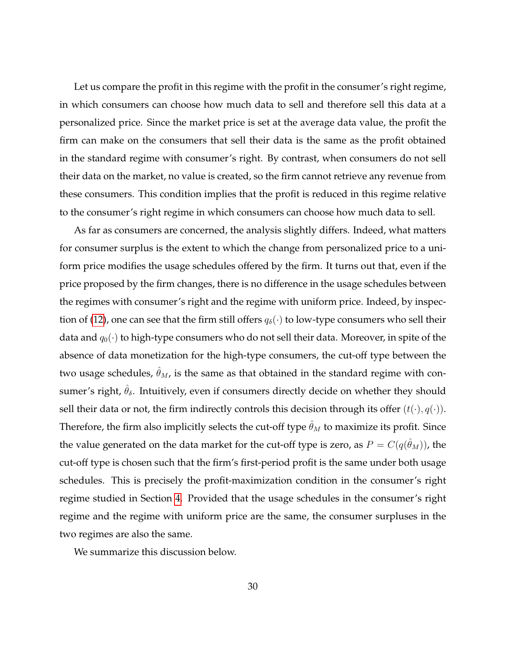Let us compare the profit in this regime with the profit in the consumer's right regime, in which consumers can choose how much data to sell and therefore sell this data at a personalized price. Since the market price is set at the average data value, the profit the firm can make on the consumers that sell their data is the same as the profit obtained in the standard regime with consumer's right. By contrast, when consumers do not sell their data on the market, no value is created, so the firm cannot retrieve any revenue from these consumers. This condition implies that the profit is reduced in this regime relative to the consumer's right regime in which consumers can choose how much data to sell.

As far as consumers are concerned, the analysis slightly differs. Indeed, what matters for consumer surplus is the extent to which the change from personalized price to a uniform price modifies the usage schedules offered by the firm. It turns out that, even if the price proposed by the firm changes, there is no difference in the usage schedules between the regimes with consumer's right and the regime with uniform price. Indeed, by inspec-tion of [\(12\)](#page-28-1), one can see that the firm still offers  $q_\delta(\cdot)$  to low-type consumers who sell their data and  $q_0(\cdot)$  to high-type consumers who do not sell their data. Moreover, in spite of the absence of data monetization for the high-type consumers, the cut-off type between the two usage schedules,  $\hat{\theta}_M$ , is the same as that obtained in the standard regime with consumer's right,  $\hat{\theta}_{\delta}$ . Intuitively, even if consumers directly decide on whether they should sell their data or not, the firm indirectly controls this decision through its offer  $(t(\cdot), q(\cdot))$ . Therefore, the firm also implicitly selects the cut-off type  $\hat{\theta}_M$  to maximize its profit. Since the value generated on the data market for the cut-off type is zero, as  $P=C(q(\hat{\theta}_M))$ , the cut-off type is chosen such that the firm's first-period profit is the same under both usage schedules. This is precisely the profit-maximization condition in the consumer's right regime studied in Section [4.](#page-13-0) Provided that the usage schedules in the consumer's right regime and the regime with uniform price are the same, the consumer surpluses in the two regimes are also the same.

We summarize this discussion below.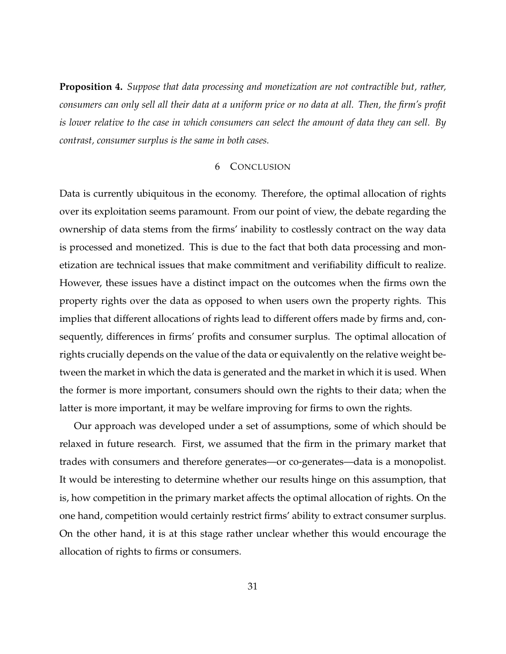<span id="page-30-1"></span>**Proposition 4.** *Suppose that data processing and monetization are not contractible but, rather, consumers can only sell all their data at a uniform price or no data at all. Then, the firm's profit is lower relative to the case in which consumers can select the amount of data they can sell. By contrast, consumer surplus is the same in both cases.*

# 6 CONCLUSION

<span id="page-30-0"></span>Data is currently ubiquitous in the economy. Therefore, the optimal allocation of rights over its exploitation seems paramount. From our point of view, the debate regarding the ownership of data stems from the firms' inability to costlessly contract on the way data is processed and monetized. This is due to the fact that both data processing and monetization are technical issues that make commitment and verifiability difficult to realize. However, these issues have a distinct impact on the outcomes when the firms own the property rights over the data as opposed to when users own the property rights. This implies that different allocations of rights lead to different offers made by firms and, consequently, differences in firms' profits and consumer surplus. The optimal allocation of rights crucially depends on the value of the data or equivalently on the relative weight between the market in which the data is generated and the market in which it is used. When the former is more important, consumers should own the rights to their data; when the latter is more important, it may be welfare improving for firms to own the rights.

Our approach was developed under a set of assumptions, some of which should be relaxed in future research. First, we assumed that the firm in the primary market that trades with consumers and therefore generates—or co-generates—data is a monopolist. It would be interesting to determine whether our results hinge on this assumption, that is, how competition in the primary market affects the optimal allocation of rights. On the one hand, competition would certainly restrict firms' ability to extract consumer surplus. On the other hand, it is at this stage rather unclear whether this would encourage the allocation of rights to firms or consumers.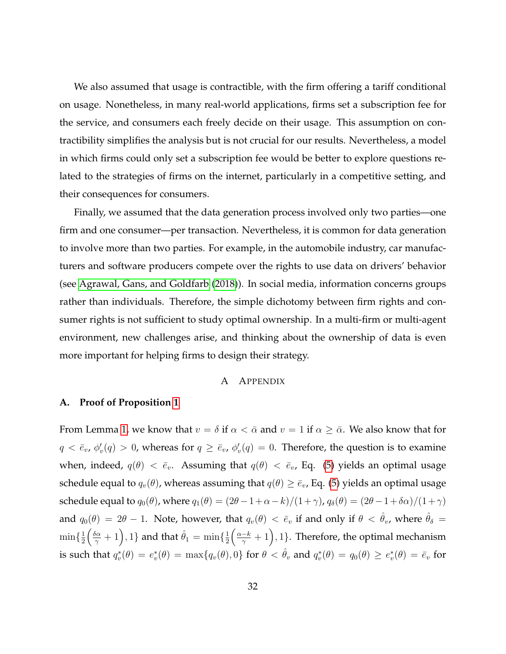We also assumed that usage is contractible, with the firm offering a tariff conditional on usage. Nonetheless, in many real-world applications, firms set a subscription fee for the service, and consumers each freely decide on their usage. This assumption on contractibility simplifies the analysis but is not crucial for our results. Nevertheless, a model in which firms could only set a subscription fee would be better to explore questions related to the strategies of firms on the internet, particularly in a competitive setting, and their consequences for consumers.

Finally, we assumed that the data generation process involved only two parties—one firm and one consumer—per transaction. Nevertheless, it is common for data generation to involve more than two parties. For example, in the automobile industry, car manufacturers and software producers compete over the rights to use data on drivers' behavior (see [Agrawal, Gans, and Goldfarb](#page-46-5) [\(2018\)](#page-46-5)). In social media, information concerns groups rather than individuals. Therefore, the simple dichotomy between firm rights and consumer rights is not sufficient to study optimal ownership. In a multi-firm or multi-agent environment, new challenges arise, and thinking about the ownership of data is even more important for helping firms to design their strategy.

# A APPENDIX

#### **A. Proof of Proposition [1](#page-12-1)**

From Lemma [1,](#page-10-1) we know that  $v = \delta$  if  $\alpha < \bar{\alpha}$  and  $v = 1$  if  $\alpha \geq \bar{\alpha}$ . We also know that for  $q < \bar{e}_v$ ,  $\phi'_v(q) > 0$ , whereas for  $q \ge \bar{e}_v$ ,  $\phi'_v(q) = 0$ . Therefore, the question is to examine when, indeed,  $q(\theta) < \bar{e}_v$ . Assuming that  $q(\theta) < \bar{e}_v$ , Eq. [\(5\)](#page-12-2) yields an optimal usage schedule equal to  $q_v(\theta)$ , whereas assuming that  $q(\theta) \geq \bar{e}_v$ , Eq. [\(5\)](#page-12-2) yields an optimal usage schedule equal to  $q_0(\theta)$ , where  $q_1(\theta) = (2\theta - 1 + \alpha - k)/(1 + \gamma)$ ,  $q_\delta(\theta) = (2\theta - 1 + \delta \alpha)/(1 + \gamma)$ and  $q_0(\theta) = 2\theta - 1$ . Note, however, that  $q_v(\theta) < \bar{e}_v$  if and only if  $\theta < \hat{\theta}_v$ , where  $\hat{\theta}_\delta$  $\min\{\frac{1}{2}$  $\frac{1}{2} \Big( \frac{\delta \alpha}{\gamma} + 1 \Big), 1 \}$  and that  $\hat{\theta}_1 = \min \{ \frac{1}{2} \Big)$  $\frac{1}{2}(\frac{\alpha-k}{\gamma}+1),1\}.$  Therefore, the optimal mechanism is such that  $q_v^*(\theta)=e_v^*(\theta)=\max\{q_v(\theta),0\}$  for  $\theta<\hat{\theta}_v$  and  $q_v^*(\theta)=q_0(\theta)\ge e_v^*(\theta)=\bar{e}_v$  for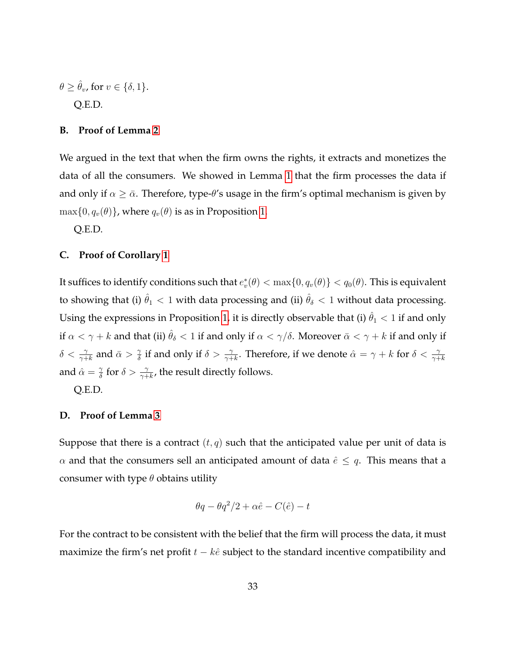$$
\theta \ge \hat{\theta}_v, \text{ for } v \in \{\delta, 1\}.
$$
 Q.E.D.

#### **B. Proof of Lemma [2](#page-15-2)**

We argued in the text that when the firm owns the rights, it extracts and monetizes the data of all the consumers. We showed in Lemma [1](#page-10-1) that the firm processes the data if and only if  $\alpha \geq \bar{\alpha}$ . Therefore, type- $\theta$ 's usage in the firm's optimal mechanism is given by  $\max\{0, q_v(\theta)\}\$ , where  $q_v(\theta)$  is as in Proposition [1.](#page-12-1)

Q.E.D.

# **C. Proof of Corollary [1](#page-16-0)**

It suffices to identify conditions such that  $e_v^*(\theta)<\max\{0,q_v(\theta)\}< q_0(\theta).$  This is equivalent to showing that (i)  $\hat{\theta}_1 < 1$  with data processing and (ii)  $\hat{\theta}_\delta < 1$  without data processing. Using the expressions in Proposition [1,](#page-12-1) it is directly observable that (i)  $\hat{\theta}_1 < 1$  if and only if  $\alpha < \gamma + k$  and that (ii)  $\hat{\theta}_{\delta} < 1$  if and only if  $\alpha < \gamma/\delta$ . Moreover  $\bar{\alpha} < \gamma + k$  if and only if  $\delta < \frac{\gamma}{\gamma + k}$  and  $\bar{\alpha} > \frac{\gamma}{\delta}$  $\frac{\gamma}{\delta}$  if and only if  $\delta > \frac{\gamma}{\gamma+k}$ . Therefore, if we denote  $\hat{\alpha} = \gamma + k$  for  $\delta < \frac{\gamma}{\gamma+k}$ and  $\hat{\alpha} = \frac{\gamma}{\delta}$  $\frac{\gamma}{\delta}$  for  $\delta > \frac{\gamma}{\gamma + k}$ , the result directly follows.

Q.E.D.

# **D. Proof of Lemma [3](#page-17-1)**

Suppose that there is a contract  $(t, q)$  such that the anticipated value per unit of data is  $\alpha$  and that the consumers sell an anticipated amount of data  $\hat{e} \leq q$ . This means that a consumer with type  $\theta$  obtains utility

$$
\theta q - \theta q^2/2 + \alpha \hat{e} - C(\hat{e}) - t
$$

For the contract to be consistent with the belief that the firm will process the data, it must maximize the firm's net profit  $t - k\hat{e}$  subject to the standard incentive compatibility and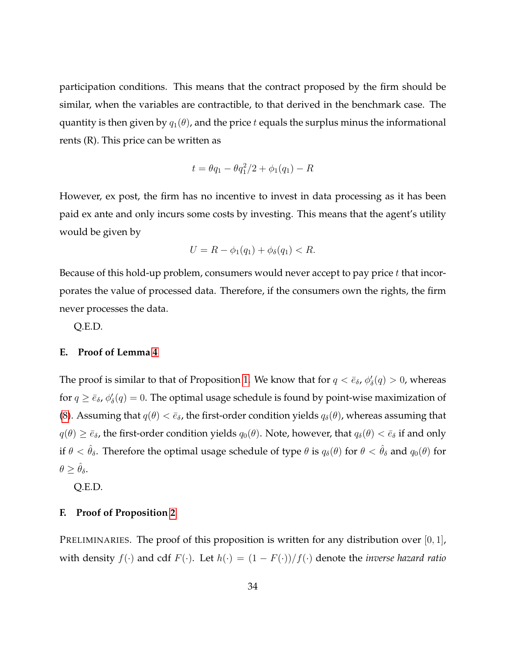participation conditions. This means that the contract proposed by the firm should be similar, when the variables are contractible, to that derived in the benchmark case. The quantity is then given by  $q_1(\theta)$ , and the price t equals the surplus minus the informational rents (R). This price can be written as

$$
t = \theta q_1 - \theta q_1^2 / 2 + \phi_1(q_1) - R
$$

However, ex post, the firm has no incentive to invest in data processing as it has been paid ex ante and only incurs some costs by investing. This means that the agent's utility would be given by

$$
U = R - \phi_1(q_1) + \phi_\delta(q_1) < R.
$$

Because of this hold-up problem, consumers would never accept to pay price  $t$  that incorporates the value of processed data. Therefore, if the consumers own the rights, the firm never processes the data.

Q.E.D.

# **E. Proof of Lemma [4](#page-18-1)**

The proof is similar to that of Proposition [1.](#page-12-1) We know that for  $q < \bar{e}_\delta$ ,  $\phi'_\delta(q) > 0$ , whereas for  $q \geq \bar{e}_\delta$ ,  $\phi'_\delta(q) = 0$ . The optimal usage schedule is found by point-wise maximization of [\(8\)](#page-18-2). Assuming that  $q(\theta) < \bar{e}_{\delta}$ , the first-order condition yields  $q_{\delta}(\theta)$ , whereas assuming that  $q(\theta) \geq \bar{\epsilon}_{\delta}$ , the first-order condition yields  $q_0(\theta)$ . Note, however, that  $q_{\delta}(\theta) < \bar{\epsilon}_{\delta}$  if and only if  $\theta < \hat{\theta}_{\delta}$ . Therefore the optimal usage schedule of type  $\theta$  is  $q_{\delta}(\theta)$  for  $\theta < \hat{\theta}_{\delta}$  and  $q_0(\theta)$  for  $\theta \geq \hat{\theta}_{\delta}.$ 

Q.E.D.

# **F. Proof of Proposition [2](#page-22-0)**

PRELIMINARIES. The proof of this proposition is written for any distribution over  $[0,1]$ , with density  $f(\cdot)$  and cdf  $F(\cdot)$ . Let  $h(\cdot) = (1 - F(\cdot))/f(\cdot)$  denote the *inverse hazard ratio*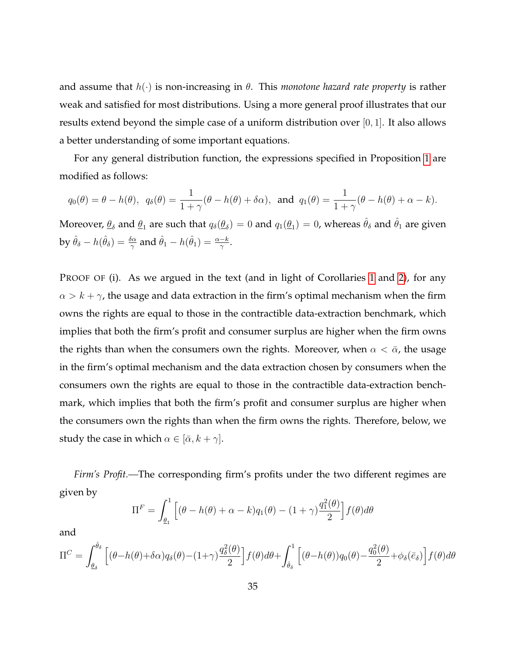and assume that  $h(\cdot)$  is non-increasing in  $\theta$ . This *monotone hazard rate property* is rather weak and satisfied for most distributions. Using a more general proof illustrates that our results extend beyond the simple case of a uniform distribution over [0, 1]. It also allows a better understanding of some important equations.

For any general distribution function, the expressions specified in Proposition [1](#page-12-1) are modified as follows:

$$
q_0(\theta) = \theta - h(\theta)
$$
,  $q_\delta(\theta) = \frac{1}{1+\gamma}(\theta - h(\theta) + \delta\alpha)$ , and  $q_1(\theta) = \frac{1}{1+\gamma}(\theta - h(\theta) + \alpha - k)$ .

Moreover,  $\varrho_\delta$  and  $\varrho_1$  are such that  $q_\delta(\varrho_\delta)=0$  and  $q_1(\varrho_1)=0$ , whereas  $\hat{\theta}_\delta$  and  $\hat{\theta}_1$  are given by  $\hat{\theta}_{\delta} - h(\hat{\theta}_{\delta}) = \frac{\delta \alpha}{\gamma}$  and  $\hat{\theta}_1 - h(\hat{\theta}_1) = \frac{\alpha - k}{\gamma}$ .

PROOF OF (i). As we argued in the text (and in light of Corollaries [1](#page-16-0) and [2\)](#page-19-0), for any  $\alpha > k + \gamma$ , the usage and data extraction in the firm's optimal mechanism when the firm owns the rights are equal to those in the contractible data-extraction benchmark, which implies that both the firm's profit and consumer surplus are higher when the firm owns the rights than when the consumers own the rights. Moreover, when  $\alpha < \bar{\alpha}$ , the usage in the firm's optimal mechanism and the data extraction chosen by consumers when the consumers own the rights are equal to those in the contractible data-extraction benchmark, which implies that both the firm's profit and consumer surplus are higher when the consumers own the rights than when the firm owns the rights. Therefore, below, we study the case in which  $\alpha \in [\bar{\alpha}, k + \gamma]$ .

*Firm's Profit.—*The corresponding firm's profits under the two different regimes are given by

$$
\Pi^F = \int_{\underline{\theta}_1}^1 \left[ (\theta - h(\theta) + \alpha - k) q_1(\theta) - (1 + \gamma) \frac{q_1^2(\theta)}{2} \right] f(\theta) d\theta
$$

and

$$
\Pi^{C} = \int_{\theta_{\delta}}^{\hat{\theta}_{\delta}} \left[ (\theta - h(\theta) + \delta \alpha) q_{\delta}(\theta) - (1 + \gamma) \frac{q_{\delta}^{2}(\theta)}{2} \right] f(\theta) d\theta + \int_{\hat{\theta}_{\delta}}^{1} \left[ (\theta - h(\theta)) q_{0}(\theta) - \frac{q_{0}^{2}(\theta)}{2} + \phi_{\delta}(\bar{e}_{\delta}) \right] f(\theta) d\theta
$$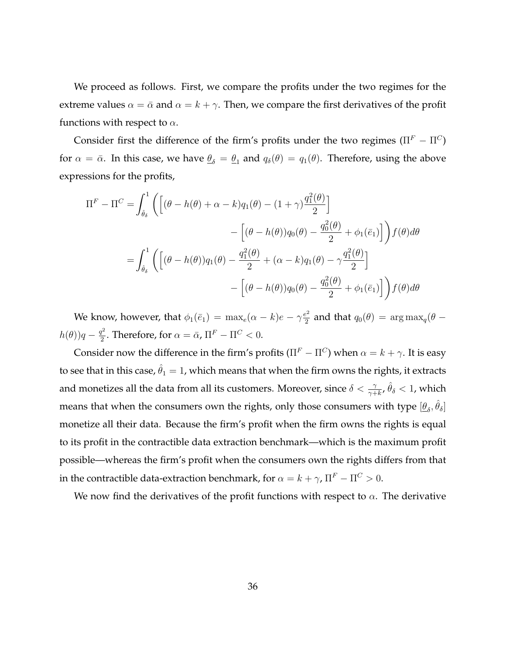We proceed as follows. First, we compare the profits under the two regimes for the extreme values  $\alpha = \bar{\alpha}$  and  $\alpha = k + \gamma$ . Then, we compare the first derivatives of the profit functions with respect to  $\alpha$ .

Consider first the difference of the firm's profits under the two regimes ( $\Pi^F - \Pi^C$ ) for  $\alpha = \bar{\alpha}$ . In this case, we have  $\underline{\theta}_{\delta} = \underline{\theta}_1$  and  $q_{\delta}(\theta) = q_1(\theta)$ . Therefore, using the above expressions for the profits,

$$
\Pi^{F} - \Pi^{C} = \int_{\hat{\theta}_{\delta}}^{1} \left( \left[ (\theta - h(\theta) + \alpha - k) q_{1}(\theta) - (1 + \gamma) \frac{q_{1}^{2}(\theta)}{2} \right] - \left[ (\theta - h(\theta)) q_{0}(\theta) - \frac{q_{0}^{2}(\theta)}{2} + \phi_{1}(\bar{e}_{1}) \right] \right) f(\theta) d\theta
$$

$$
= \int_{\hat{\theta}_{\delta}}^{1} \left( \left[ (\theta - h(\theta)) q_{1}(\theta) - \frac{q_{1}^{2}(\theta)}{2} + (\alpha - k) q_{1}(\theta) - \gamma \frac{q_{1}^{2}(\theta)}{2} \right] - \left[ (\theta - h(\theta)) q_{0}(\theta) - \frac{q_{0}^{2}(\theta)}{2} + \phi_{1}(\bar{e}_{1}) \right] \right) f(\theta) d\theta
$$

We know, however, that  $\phi_1(\bar{e}_1) = \max_e(\alpha - k)e - \gamma \frac{e^2}{2}$  $q_2^2$  and that  $q_0(\theta) = \arg \max_q(\theta - \theta)$  $h(\theta)$ ) $q-\frac{q^2}{2}$  $\frac{q^2}{2}$ . Therefore, for  $\alpha = \bar{\alpha}$ ,  $\Pi^F - \Pi^C < 0$ .

Consider now the difference in the firm's profits ( $\Pi^F - \Pi^C$ ) when  $\alpha = k + \gamma$ . It is easy to see that in this case,  $\hat{\theta}_1 = 1$ , which means that when the firm owns the rights, it extracts and monetizes all the data from all its customers. Moreover, since  $\delta<\frac{\gamma}{\gamma+k},$   $\hat{\theta}_\delta< 1$ , which means that when the consumers own the rights, only those consumers with type  $[\underline{\theta}_\delta,\hat{\theta}_\delta]$ monetize all their data. Because the firm's profit when the firm owns the rights is equal to its profit in the contractible data extraction benchmark—which is the maximum profit possible—whereas the firm's profit when the consumers own the rights differs from that in the contractible data-extraction benchmark, for  $\alpha = k + \gamma$ ,  $\Pi^F - \Pi^C > 0$ .

We now find the derivatives of the profit functions with respect to  $\alpha$ . The derivative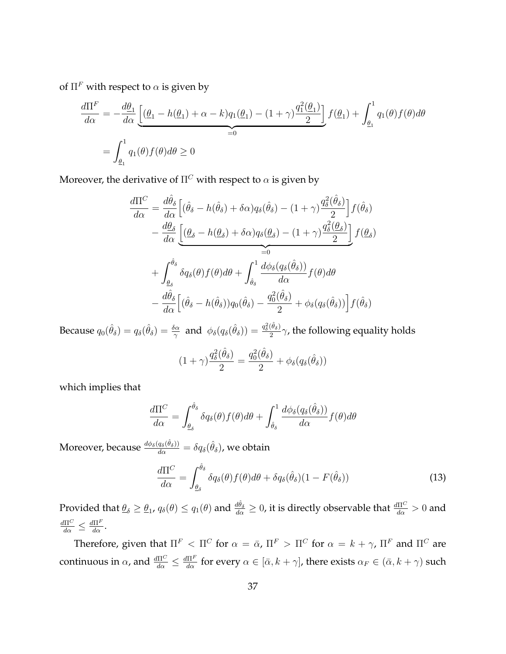of  $\Pi^F$  with respect to  $\alpha$  is given by

$$
\frac{d\Pi^F}{d\alpha} = -\frac{d\underline{\theta}_1}{d\alpha} \underbrace{\left[ (\underline{\theta}_1 - h(\underline{\theta}_1) + \alpha - k) q_1(\underline{\theta}_1) - (1 + \gamma) \frac{q_1^2(\underline{\theta}_1)}{2} \right]}_{=0} f(\underline{\theta}_1) + \int_{\underline{\theta}_1}^1 q_1(\theta) f(\theta) d\theta
$$
\n
$$
= \int_{\underline{\theta}_1}^1 q_1(\theta) f(\theta) d\theta \ge 0
$$

Moreover, the derivative of  $\Pi^C$  with respect to  $\alpha$  is given by

$$
\frac{d\Pi^{C}}{d\alpha} = \frac{d\hat{\theta}_{\delta}}{d\alpha} \Big[ (\hat{\theta}_{\delta} - h(\hat{\theta}_{\delta}) + \delta\alpha) q_{\delta}(\hat{\theta}_{\delta}) - (1 + \gamma) \frac{q_{\delta}^{2}(\hat{\theta}_{\delta})}{2} \Big] f(\hat{\theta}_{\delta}) \n- \frac{d\theta_{\delta}}{d\alpha} \Big[ \underbrace{(\theta_{\delta} - h(\theta_{\delta}) + \delta\alpha) q_{\delta}(\theta_{\delta}) - (1 + \gamma) \frac{q_{\delta}^{2}(\theta_{\delta})}{2}}_{=0} \Big] f(\theta_{\delta}) \n+ \int_{\theta_{\delta}}^{\hat{\theta}_{\delta}} \delta q_{\delta}(\theta) f(\theta) d\theta + \int_{\hat{\theta}_{\delta}}^{1} \frac{d\phi_{\delta}(q_{\delta}(\hat{\theta}_{\delta}))}{d\alpha} f(\theta) d\theta \n- \frac{d\hat{\theta}_{\delta}}{d\alpha} \Big[ (\hat{\theta}_{\delta} - h(\hat{\theta}_{\delta})) q_{0}(\hat{\theta}_{\delta}) - \frac{q_{0}^{2}(\hat{\theta}_{\delta})}{2} + \phi_{\delta}(q_{\delta}(\hat{\theta}_{\delta})) \Big] f(\hat{\theta}_{\delta})
$$

Because  $q_0(\hat{\theta}_{\delta}) = q_{\delta}(\hat{\theta}_{\delta}) = \frac{\delta \alpha}{\gamma}$  and  $\phi_{\delta}(q_{\delta}(\hat{\theta}_{\delta})) = \frac{q_{\delta}^2(\hat{\theta}_{\delta})}{2}$  $\frac{\sigma_{\delta}}{2}$  $\gamma$ , the following equality holds

$$
(1+\gamma)\frac{q_{\delta}^2(\hat{\theta}_{\delta})}{2} = \frac{q_0^2(\hat{\theta}_{\delta})}{2} + \phi_{\delta}(q_{\delta}(\hat{\theta}_{\delta}))
$$

which implies that

$$
\frac{d\Pi^C}{d\alpha} = \int_{\theta_\delta}^{\hat{\theta}_\delta} \delta q_\delta(\theta) f(\theta) d\theta + \int_{\hat{\theta}_\delta}^1 \frac{d\phi_\delta(q_\delta(\hat{\theta}_\delta))}{d\alpha} f(\theta) d\theta
$$

Moreover, because  $\frac{d\phi_\delta(q_\delta(\hat{\theta}_\delta))}{d\alpha}=\delta q_\delta(\hat{\theta}_\delta)$ , we obtain

$$
\frac{d\Pi^C}{d\alpha} = \int_{\underline{\theta}_{\delta}}^{\hat{\theta}_{\delta}} \delta q_{\delta}(\theta) f(\theta) d\theta + \delta q_{\delta}(\hat{\theta}_{\delta})(1 - F(\hat{\theta}_{\delta})) \tag{13}
$$

Provided that  $\theta_\delta\geq\theta_1$ ,  $q_\delta(\theta)\leq q_1(\theta)$  and  $\frac{d\hat{\theta}_\delta}{d\alpha}\geq0$ , it is directly observable that  $\frac{d\Pi^C}{d\alpha}>0$  and  $\frac{d\Pi^C}{d\alpha} \leq \frac{d\Pi^F}{d\alpha}.$ 

Therefore, given that  $\Pi^F < \Pi^C$  for  $\alpha = \bar{\alpha}$ ,  $\Pi^F > \Pi^C$  for  $\alpha = k + \gamma$ ,  $\Pi^F$  and  $\Pi^C$  are continuous in  $\alpha$ , and  $\frac{d\Pi^C}{d\alpha} \leq \frac{d\Pi^F}{d\alpha}$  for every  $\alpha \in [\bar{\alpha}, k + \gamma]$ , there exists  $\alpha_F \in (\bar{\alpha}, k + \gamma)$  such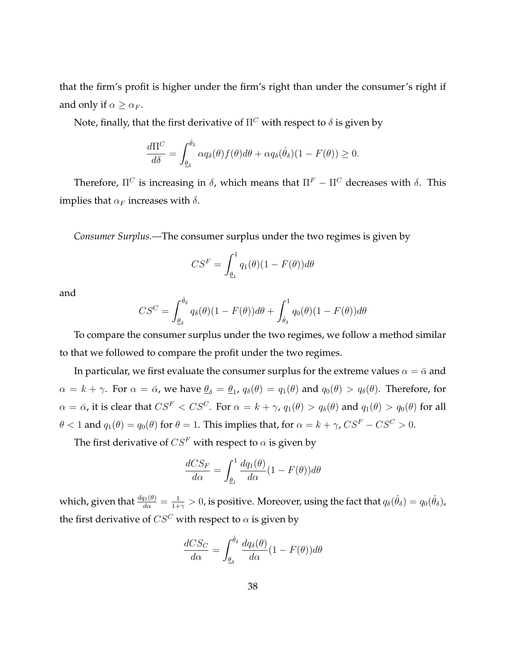that the firm's profit is higher under the firm's right than under the consumer's right if and only if  $\alpha \geq \alpha_F$ .

Note, finally, that the first derivative of  $\Pi^C$  with respect to  $\delta$  is given by

$$
\frac{d\Pi^C}{d\delta} = \int_{\underline{\theta}_{\delta}}^{\hat{\theta}_{\delta}} \alpha q_{\delta}(\theta) f(\theta) d\theta + \alpha q_{\delta}(\hat{\theta}_{\delta})(1 - F(\theta)) \ge 0.
$$

Therefore,  $\Pi^C$  is increasing in  $\delta$ , which means that  $\Pi^F - \Pi^C$  decreases with  $\delta$ . This implies that  $\alpha_F$  increases with  $\delta$ .

*Consumer Surplus.—*The consumer surplus under the two regimes is given by

$$
CS^{F} = \int_{\underline{\theta}_{1}}^{1} q_{1}(\theta)(1 - F(\theta))d\theta
$$

and

$$
CS^{C} = \int_{\underline{\theta}_{\delta}}^{\hat{\theta}_{\delta}} q_{\delta}(\theta)(1 - F(\theta))d\theta + \int_{\hat{\theta}_{\delta}}^{1} q_{0}(\theta)(1 - F(\theta))d\theta
$$

To compare the consumer surplus under the two regimes, we follow a method similar to that we followed to compare the profit under the two regimes.

In particular, we first evaluate the consumer surplus for the extreme values  $\alpha = \bar{\alpha}$  and  $\alpha = k + \gamma$ . For  $\alpha = \bar{\alpha}$ , we have  $\underline{\theta}_{\delta} = \underline{\theta}_1$ ,  $q_{\delta}(\theta) = q_1(\theta)$  and  $q_0(\theta) > q_{\delta}(\theta)$ . Therefore, for  $\alpha = \bar{\alpha}$ , it is clear that  $CS^F < CS^C$ . For  $\alpha = k + \gamma$ ,  $q_1(\theta) > q_\delta(\theta)$  and  $q_1(\theta) > q_0(\theta)$  for all  $\theta < 1$  and  $q_1(\theta) = q_0(\theta)$  for  $\theta = 1$ . This implies that, for  $\alpha = k + \gamma$ ,  $CS^F - CS^C > 0$ .

The first derivative of  $CS^F$  with respect to  $\alpha$  is given by

$$
\frac{dCS_F}{d\alpha} = \int_{\underline{\theta}_1}^1 \frac{dq_1(\theta)}{d\alpha} (1 - F(\theta)) d\theta
$$

which, given that  $\frac{dq_1(\theta)}{d\alpha}=\frac{1}{1+\alpha}$  $\frac{1}{1+\gamma}>0$ , is positive. Moreover, using the fact that  $q_\delta(\hat{\theta}_\delta)=q_0(\hat{\theta}_\delta)$ , the first derivative of  $C S^C$  with respect to  $\alpha$  is given by

$$
\frac{dCS_C}{d\alpha} = \int_{\underline{\theta}_{\delta}}^{\hat{\theta}_{\delta}} \frac{dq_{\delta}(\theta)}{d\alpha} (1 - F(\theta)) d\theta
$$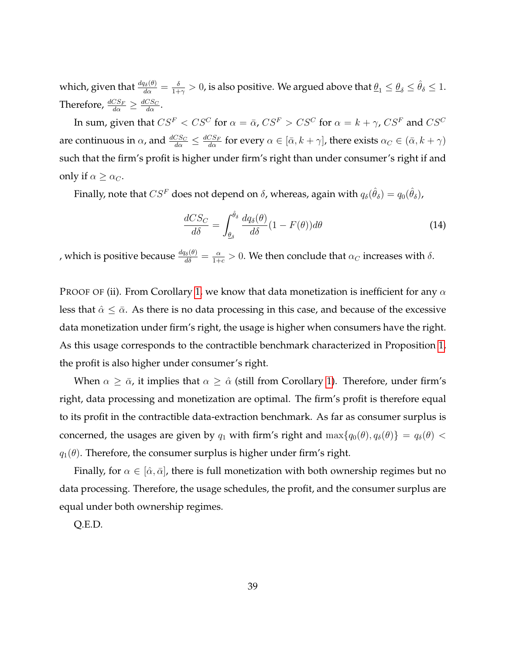which, given that  $\frac{dq_\delta(\theta)}{d\alpha}=\frac{\delta}{1+\alpha}$  $\frac{\delta}{1+\gamma}>0$ , is also positive. We argued above that  $\underline{\theta}_1\leq \underline{\theta}_\delta\leq\hat{\theta}_\delta\leq 1.$ Therefore,  $\frac{dCS_F}{d\alpha} \geq \frac{dCS_C}{d\alpha}$ .

In sum, given that  $CS^F < CS^C$  for  $\alpha = \bar{\alpha}$ ,  $CS^F > CS^C$  for  $\alpha = k + \gamma$ ,  $CS^F$  and  $CS^C$ are continuous in  $\alpha$ , and  $\frac{dCS_C}{d\alpha} \leq \frac{dCS_F}{d\alpha}$  for every  $\alpha \in [\bar{\alpha}, k + \gamma]$ , there exists  $\alpha_C \in (\bar{\alpha}, k + \gamma)$ such that the firm's profit is higher under firm's right than under consumer's right if and only if  $\alpha \geq \alpha_C$ .

Finally, note that  $CS^F$  does not depend on  $\delta$ , whereas, again with  $q_\delta(\hat\theta_\delta)=q_0(\hat\theta_\delta)$ ,

$$
\frac{dCS_C}{d\delta} = \int_{\underline{\theta}_{\delta}}^{\hat{\theta}_{\delta}} \frac{dq_{\delta}(\theta)}{d\delta} (1 - F(\theta)) d\theta \tag{14}
$$

, which is positive because  $\frac{dq_\delta(\theta)}{d\delta}=\frac{\alpha}{1+c}>0.$  We then conclude that  $\alpha_C$  increases with  $\delta$ .

PROOF OF (ii). From Corollary [1,](#page-16-0) we know that data monetization is inefficient for any  $\alpha$ less that  $\hat{\alpha} \leq \bar{\alpha}$ . As there is no data processing in this case, and because of the excessive data monetization under firm's right, the usage is higher when consumers have the right. As this usage corresponds to the contractible benchmark characterized in Proposition [1,](#page-12-1) the profit is also higher under consumer's right.

When  $\alpha \geq \bar{\alpha}$ , it implies that  $\alpha \geq \hat{\alpha}$  (still from Corollary [1\)](#page-16-0). Therefore, under firm's right, data processing and monetization are optimal. The firm's profit is therefore equal to its profit in the contractible data-extraction benchmark. As far as consumer surplus is concerned, the usages are given by  $q_1$  with firm's right and  $\max\{q_0(\theta), q_\delta(\theta)\} = q_\delta(\theta)$  $q_1(\theta)$ . Therefore, the consumer surplus is higher under firm's right.

Finally, for  $\alpha \in [\hat{\alpha}, \bar{\alpha}]$ , there is full monetization with both ownership regimes but no data processing. Therefore, the usage schedules, the profit, and the consumer surplus are equal under both ownership regimes.

Q.E.D.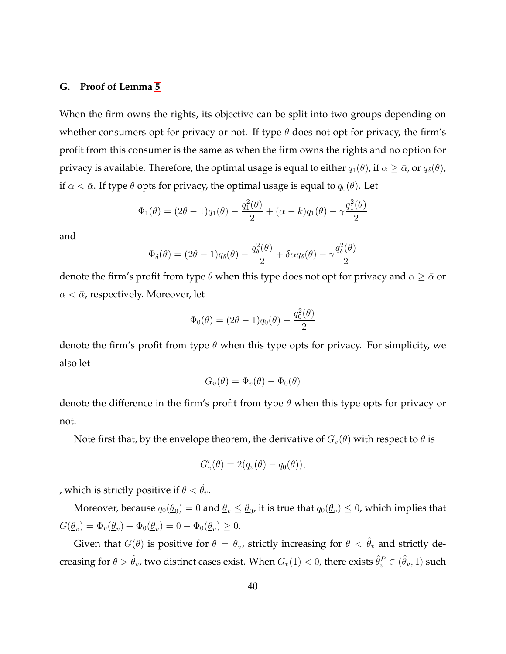# **G. Proof of Lemma [5](#page-24-2)**

When the firm owns the rights, its objective can be split into two groups depending on whether consumers opt for privacy or not. If type  $\theta$  does not opt for privacy, the firm's profit from this consumer is the same as when the firm owns the rights and no option for privacy is available. Therefore, the optimal usage is equal to either  $q_1(\theta)$ , if  $\alpha \geq \bar{\alpha}$ , or  $q_\delta(\theta)$ , if  $\alpha < \bar{\alpha}$ . If type  $\theta$  opts for privacy, the optimal usage is equal to  $q_0(\theta)$ . Let

$$
\Phi_1(\theta) = (2\theta - 1)q_1(\theta) - \frac{q_1^2(\theta)}{2} + (\alpha - k)q_1(\theta) - \gamma \frac{q_1^2(\theta)}{2}
$$

and

$$
\Phi_{\delta}(\theta) = (2\theta - 1)q_{\delta}(\theta) - \frac{q_{\delta}^{2}(\theta)}{2} + \delta \alpha q_{\delta}(\theta) - \gamma \frac{q_{\delta}^{2}(\theta)}{2}
$$

denote the firm's profit from type  $\theta$  when this type does not opt for privacy and  $\alpha \geq \bar{\alpha}$  or  $\alpha < \bar{\alpha}$ , respectively. Moreover, let

$$
\Phi_0(\theta) = (2\theta - 1)q_0(\theta) - \frac{q_0^2(\theta)}{2}
$$

denote the firm's profit from type  $\theta$  when this type opts for privacy. For simplicity, we also let

$$
G_v(\theta) = \Phi_v(\theta) - \Phi_0(\theta)
$$

denote the difference in the firm's profit from type  $\theta$  when this type opts for privacy or not.

Note first that, by the envelope theorem, the derivative of  $G_v(\theta)$  with respect to  $\theta$  is

$$
G'_v(\theta) = 2(q_v(\theta) - q_0(\theta)),
$$

, which is strictly positive if  $\theta < \hat{\theta}_v$ .

Moreover, because  $q_0(\underline{\theta}_0)=0$  and  $\underline{\theta}_v\leq \underline{\theta}_0$ , it is true that  $q_0(\underline{\theta}_v)\leq 0$ , which implies that  $G(\underline{\theta}_v) = \Phi_v(\underline{\theta}_v) - \Phi_0(\underline{\theta}_v) = 0 - \Phi_0(\underline{\theta}_v) \geq 0.$ 

Given that  $G(\theta)$  is positive for  $\theta = \underline{\theta}_v$ , strictly increasing for  $\theta < \hat{\theta}_v$  and strictly decreasing for  $\theta>\hat\theta_v$ , two distinct cases exist. When  $G_v(1)< 0$ , there exists  $\hat\theta_v^P\in(\hat\theta_v,1)$  such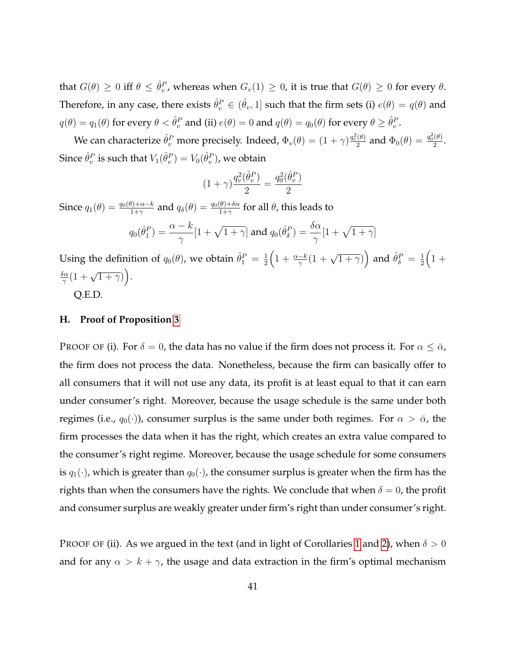that  $G(\theta) \geq 0$  iff  $\theta \leq \hat{\theta}_{v}^{P}$ , whereas when  $G_{v}(1) \geq 0$ , it is true that  $G(\theta) \geq 0$  for every  $\theta$ . Therefore, in any case, there exists  $\hat{\theta}^P_v \in (\hat{\theta}_v,1]$  such that the firm sets (i)  $e(\theta)=q(\theta)$  and  $q(\theta) = q_1(\theta)$  for every  $\theta < \hat{\theta}^P_v$  and (ii)  $e(\theta) = 0$  and  $q(\theta) = q_0(\theta)$  for every  $\theta \geq \hat{\theta}^P_v$ .

We can characterize  $\hat{\theta}^P_v$  more precisely. Indeed,  $\Phi_v(\theta)=(1+\gamma)\frac{q_v^2(\theta)}{2}$  $\frac{(\theta)}{2}$  and  $\Phi_0(\theta) = \frac{q_0^2(\theta)}{2}$  $rac{(v)}{2}$ . Since  $\hat{\theta}^P_v$  is such that  $V_1(\hat{\theta}^P_v) = V_0(\hat{\theta}^P_v)$ , we obtain

$$
(1+\gamma)\frac{q_v^2(\hat{\theta}_v^P)}{2}=\frac{q_0^2(\hat{\theta}_v^P)}{2}
$$

Since  $q_1(\theta)=\frac{q_0(\theta)+\alpha-k}{1+\gamma}$  and  $q_\delta(\theta)=\frac{q_0(\theta)+\delta\alpha}{1+\gamma}$  for all  $\theta$ , this leads to

$$
q_0(\hat{\theta}_1^P) = \frac{\alpha - k}{\gamma} [1 + \sqrt{1 + \gamma}] \text{ and } q_0(\hat{\theta}_\delta^P) = \frac{\delta \alpha}{\gamma} [1 + \sqrt{1 + \gamma}]
$$

Using the definition of  $q_0(\theta)$ , we obtain  $\hat{\theta}_1^P = \frac{1}{2}$  $\frac{1}{2}\Big(1+\frac{\alpha-k}{\gamma}(1+\sqrt{1+\gamma})\Big)$  and  $\hat{\theta}_{\delta}^{P} = \frac{1}{2}$  $rac{1}{2}$  $\left(1 + \frac{1}{2}\right)$ δα  $\frac{\delta \alpha}{\gamma} (1 + \sqrt{1 + \gamma})\Big).$ 

Q.E.D.

# **H. Proof of Proposition [3](#page-26-0)**

PROOF OF (i). For  $\delta = 0$ , the data has no value if the firm does not process it. For  $\alpha \leq \bar{\alpha}$ , the firm does not process the data. Nonetheless, because the firm can basically offer to all consumers that it will not use any data, its profit is at least equal to that it can earn under consumer's right. Moreover, because the usage schedule is the same under both regimes (i.e.,  $q_0(\cdot)$ ), consumer surplus is the same under both regimes. For  $\alpha > \bar{\alpha}$ , the firm processes the data when it has the right, which creates an extra value compared to the consumer's right regime. Moreover, because the usage schedule for some consumers is  $q_1(\cdot)$ , which is greater than  $q_0(\cdot)$ , the consumer surplus is greater when the firm has the rights than when the consumers have the rights. We conclude that when  $\delta = 0$ , the profit and consumer surplus are weakly greater under firm's right than under consumer's right.

PROOF OF (ii). As we argued in the text (and in light of Corollaries [1](#page-16-0) and [2\)](#page-19-0), when  $\delta > 0$ and for any  $\alpha > k + \gamma$ , the usage and data extraction in the firm's optimal mechanism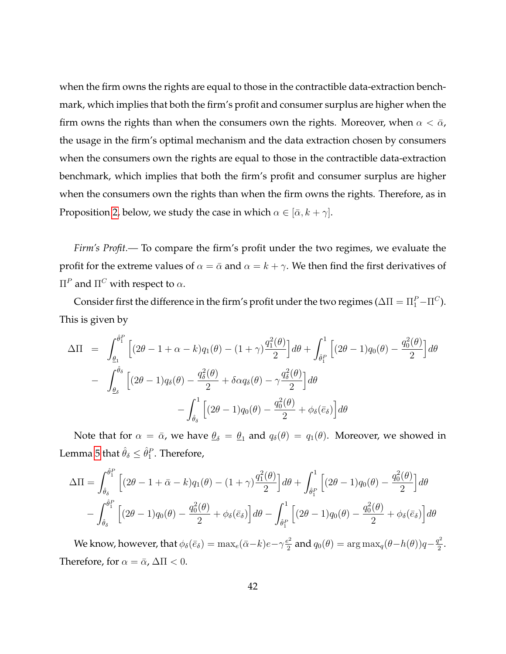when the firm owns the rights are equal to those in the contractible data-extraction benchmark, which implies that both the firm's profit and consumer surplus are higher when the firm owns the rights than when the consumers own the rights. Moreover, when  $\alpha < \bar{\alpha}$ , the usage in the firm's optimal mechanism and the data extraction chosen by consumers when the consumers own the rights are equal to those in the contractible data-extraction benchmark, which implies that both the firm's profit and consumer surplus are higher when the consumers own the rights than when the firm owns the rights. Therefore, as in Proposition [2,](#page-22-0) below, we study the case in which  $\alpha \in [\bar{\alpha}, k + \gamma]$ .

*Firm's Profit.—* To compare the firm's profit under the two regimes, we evaluate the profit for the extreme values of  $\alpha = \bar{\alpha}$  and  $\alpha = k + \gamma$ . We then find the first derivatives of  $\Pi^P$  and  $\Pi^C$  with respect to α.

Consider first the difference in the firm's profit under the two regimes ( $\Delta \Pi = \Pi_1^P - \Pi^C$ ). This is given by

$$
\Delta \Pi = \int_{\theta_1}^{\hat{\theta}_1^P} \left[ (2\theta - 1 + \alpha - k) q_1(\theta) - (1 + \gamma) \frac{q_1^2(\theta)}{2} \right] d\theta + \int_{\hat{\theta}_1^P} \left[ (2\theta - 1) q_0(\theta) - \frac{q_0^2(\theta)}{2} \right] d\theta
$$

$$
- \int_{\theta_\delta}^{\hat{\theta}_\delta} \left[ (2\theta - 1) q_\delta(\theta) - \frac{q_\delta^2(\theta)}{2} + \delta \alpha q_\delta(\theta) - \gamma \frac{q_\delta^2(\theta)}{2} \right] d\theta
$$

$$
- \int_{\hat{\theta}_\delta}^1 \left[ (2\theta - 1) q_0(\theta) - \frac{q_0^2(\theta)}{2} + \phi_\delta(\bar{e}_\delta) \right] d\theta
$$

Note that for  $\alpha = \bar{\alpha}$ , we have  $\underline{\theta}_{\delta} = \underline{\theta}_1$  and  $q_{\delta}(\theta) = q_1(\theta)$ . Moreover, we showed in Lemma [5](#page-24-2) that  $\hat{\theta}_{\delta} \leq \hat{\theta}_{1}^{P}.$  Therefore,

$$
\Delta\Pi = \int_{\hat{\theta}_{\delta}}^{\hat{\theta}_{1}^{P}} \left[ (2\theta - 1 + \bar{\alpha} - k) q_{1}(\theta) - (1 + \gamma) \frac{q_{1}^{2}(\theta)}{2} \right] d\theta + \int_{\hat{\theta}_{1}^{P}} \left[ (2\theta - 1) q_{0}(\theta) - \frac{q_{0}^{2}(\theta)}{2} \right] d\theta
$$

$$
- \int_{\hat{\theta}_{\delta}}^{\hat{\theta}_{1}^{P}} \left[ (2\theta - 1) q_{0}(\theta) - \frac{q_{0}^{2}(\theta)}{2} + \phi_{\delta}(\bar{e}_{\delta}) \right] d\theta - \int_{\hat{\theta}_{1}^{P}}^{1} \left[ (2\theta - 1) q_{0}(\theta) - \frac{q_{0}^{2}(\theta)}{2} + \phi_{\delta}(\bar{e}_{\delta}) \right] d\theta
$$

We know, however, that  $\phi_{\delta}(\bar{e}_{\delta}) = \max_{e}(\bar{\alpha} - k) e - \gamma \frac{e^2}{2}$  $\frac{q^2}{2}$  and  $q_0(\theta) = \argmax_q(\theta - h(\theta))q - \frac{q^2}{2}$  $\frac{l}{2}$ . Therefore, for  $\alpha = \bar{\alpha}$ ,  $\Delta \Pi < 0$ .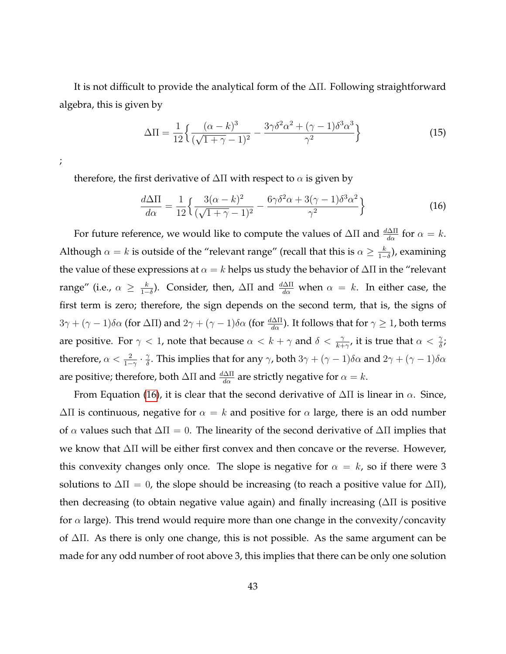It is not difficult to provide the analytical form of the ∆Π. Following straightforward algebra, this is given by

<span id="page-42-1"></span><span id="page-42-0"></span>
$$
\Delta \Pi = \frac{1}{12} \left\{ \frac{(\alpha - k)^3}{(\sqrt{1 + \gamma} - 1)^2} - \frac{3\gamma \delta^2 \alpha^2 + (\gamma - 1)\delta^3 \alpha^3}{\gamma^2} \right\}
$$
(15)

;

therefore, the first derivative of  $\Delta \Pi$  with respect to  $\alpha$  is given by

$$
\frac{d\Delta\Pi}{d\alpha} = \frac{1}{12} \left\{ \frac{3(\alpha - k)^2}{(\sqrt{1 + \gamma} - 1)^2} - \frac{6\gamma\delta^2\alpha + 3(\gamma - 1)\delta^3\alpha^2}{\gamma^2} \right\}
$$
(16)

For future reference, we would like to compute the values of  $\Delta \Pi$  and  $\frac{d\Delta \Pi}{d\alpha}$  for  $\alpha = k$ . Although  $\alpha = k$  is outside of the "relevant range" (recall that this is  $\alpha \geq \frac{k}{k}$  $\frac{k}{1-\delta}$ ), examining the value of these expressions at  $\alpha = k$  helps us study the behavior of  $\Delta \Pi$  in the "relevant range" (i.e.,  $\alpha \geq \frac{k}{1-k}$  $\frac{k}{1-\delta}$ ). Consider, then, ΔΠ and  $\frac{d\Delta\Pi}{d\alpha}$  when  $\alpha = k$ . In either case, the first term is zero; therefore, the sign depends on the second term, that is, the signs of  $3\gamma + (\gamma -1)\delta\alpha$  (for ΔΠ) and  $2\gamma + (\gamma -1)\delta\alpha$  (for  $\frac{d\Delta\Pi}{d\alpha}$ ). It follows that for  $\gamma \ge 1$ , both terms are positive. For  $\gamma < 1$ , note that because  $\alpha < k + \gamma$  and  $\delta < \frac{\gamma}{k+\gamma'}$ , it is true that  $\alpha < \frac{\gamma}{\delta}$ ; therefore,  $\alpha < \frac{2}{1-\gamma}\cdot \frac{\gamma}{\delta}$  $\frac{\gamma}{\delta}$ . This implies that for any  $\gamma$ , both  $3\gamma + (\gamma - 1)\delta\alpha$  and  $2\gamma + (\gamma - 1)\delta\alpha$ are positive; therefore, both  $\Delta \Pi$  and  $\frac{d \Delta \Pi}{d \alpha}$  are strictly negative for  $\alpha = k$ .

From Equation [\(16\)](#page-42-0), it is clear that the second derivative of  $\Delta \Pi$  is linear in  $\alpha$ . Since,  $\Delta \Pi$  is continuous, negative for  $\alpha = k$  and positive for  $\alpha$  large, there is an odd number of  $\alpha$  values such that  $\Delta \Pi = 0$ . The linearity of the second derivative of  $\Delta \Pi$  implies that we know that ∆Π will be either first convex and then concave or the reverse. However, this convexity changes only once. The slope is negative for  $\alpha = k$ , so if there were 3 solutions to  $\Delta \Pi = 0$ , the slope should be increasing (to reach a positive value for  $\Delta \Pi$ ), then decreasing (to obtain negative value again) and finally increasing (∆Π is positive for  $\alpha$  large). This trend would require more than one change in the convexity/concavity of ∆Π. As there is only one change, this is not possible. As the same argument can be made for any odd number of root above 3, this implies that there can be only one solution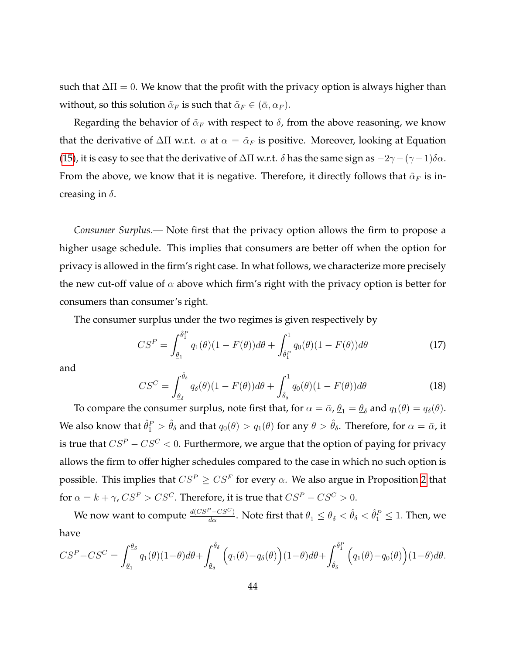such that  $\Delta \Pi = 0$ . We know that the profit with the privacy option is always higher than without, so this solution  $\tilde{\alpha}_F$  is such that  $\tilde{\alpha}_F \in (\bar{\alpha}, \alpha_F)$ .

Regarding the behavior of  $\tilde{\alpha}_F$  with respect to  $\delta$ , from the above reasoning, we know that the derivative of  $\Delta \Pi$  w.r.t.  $\alpha$  at  $\alpha = \tilde{\alpha}_F$  is positive. Moreover, looking at Equation [\(15\)](#page-42-1), it is easy to see that the derivative of  $\Delta \Pi$  w.r.t.  $\delta$  has the same sign as  $-2\gamma-(\gamma-1)\delta \alpha$ . From the above, we know that it is negative. Therefore, it directly follows that  $\tilde{\alpha}_F$  is increasing in  $\delta$ .

*Consumer Surplus.—* Note first that the privacy option allows the firm to propose a higher usage schedule. This implies that consumers are better off when the option for privacy is allowed in the firm's right case. In what follows, we characterize more precisely the new cut-off value of  $\alpha$  above which firm's right with the privacy option is better for consumers than consumer's right.

The consumer surplus under the two regimes is given respectively by

$$
CS^{P} = \int_{\underline{\theta}_{1}}^{\hat{\theta}_{1}^{P}} q_{1}(\theta)(1 - F(\theta))d\theta + \int_{\hat{\theta}_{1}^{P}}^{1} q_{0}(\theta)(1 - F(\theta))d\theta
$$
 (17)

and

$$
CS^C = \int_{\theta_\delta}^{\hat{\theta}_\delta} q_\delta(\theta) (1 - F(\theta)) d\theta + \int_{\hat{\theta}_\delta}^1 q_0(\theta) (1 - F(\theta)) d\theta \tag{18}
$$

To compare the consumer surplus, note first that, for  $\alpha = \bar{\alpha}$ ,  $\underline{\theta}_1 = \underline{\theta}_\delta$  and  $q_1(\theta) = q_\delta(\theta)$ . We also know that  $\hat\theta_1^P>\hat\theta_\delta$  and that  $q_0(\theta)>q_1(\theta)$  for any  $\theta>\hat\theta_\delta.$  Therefore, for  $\alpha=\bar\alpha$ , it is true that  $CS^P - CS^C < 0$ . Furthermore, we argue that the option of paying for privacy allows the firm to offer higher schedules compared to the case in which no such option is possible. This implies that  $CS^P \geq CS^F$  for every  $\alpha$ . We also argue in Proposition [2](#page-22-0) that for  $\alpha = k + \gamma$ ,  $CS^F > CS^C$ . Therefore, it is true that  $CS^P - CS^C > 0$ .

We now want to compute  $\frac{d(CS^P - CS^C)}{d\alpha}$ . Note first that  $\underline{\theta}_1\leq \underline{\theta}_\delta<\hat{\theta}_\delta<\hat{\theta}_1^P\leq 1$ . Then, we have

$$
CS^{P} - CS^{C} = \int_{\underline{\theta}_{1}}^{\underline{\theta}_{\delta}} q_{1}(\theta)(1-\theta)d\theta + \int_{\underline{\theta}_{\delta}}^{\hat{\theta}_{\delta}} \left( q_{1}(\theta) - q_{\delta}(\theta) \right)(1-\theta)d\theta + \int_{\hat{\theta}_{\delta}}^{\hat{\theta}_{1}^{P}} \left( q_{1}(\theta) - q_{0}(\theta) \right)(1-\theta)d\theta.
$$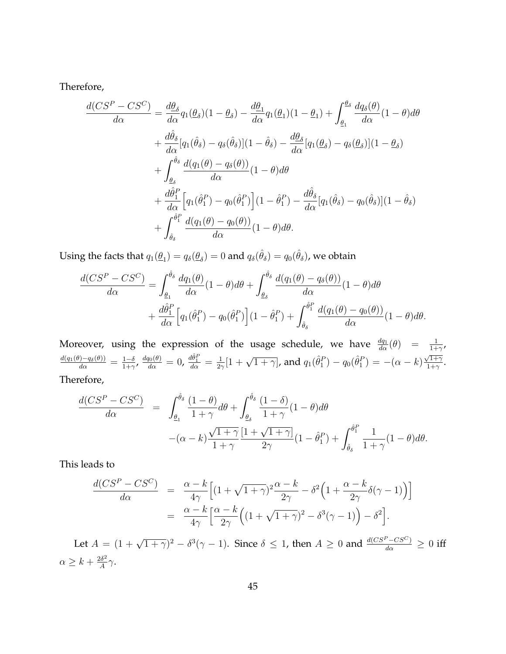Therefore,

$$
\frac{d(CS^{P} - CS^{C})}{d\alpha} = \frac{d\theta_{\delta}}{d\alpha}q_{1}(\theta_{\delta})(1 - \theta_{\delta}) - \frac{d\theta_{1}}{d\alpha}q_{1}(\theta_{1})(1 - \theta_{1}) + \int_{\theta_{1}}^{\theta_{\delta}}\frac{dq_{\delta}(\theta)}{d\alpha}(1 - \theta)d\theta \n+ \frac{d\hat{\theta}_{\delta}}{d\alpha}[q_{1}(\hat{\theta}_{\delta}) - q_{\delta}(\hat{\theta}_{\delta})](1 - \hat{\theta}_{\delta}) - \frac{d\theta_{\delta}}{d\alpha}[q_{1}(\theta_{\delta}) - q_{\delta}(\theta_{\delta})](1 - \theta_{\delta}) \n+ \int_{\theta_{\delta}}^{\hat{\theta}_{\delta}}\frac{d(q_{1}(\theta) - q_{\delta}(\theta))}{d\alpha}(1 - \theta)d\theta \n+ \frac{d\hat{\theta}_{1}^{P}}{d\alpha}\Big[q_{1}(\hat{\theta}_{1}^{P}) - q_{0}(\hat{\theta}_{1}^{P})\Big](1 - \hat{\theta}_{1}^{P}) - \frac{d\hat{\theta}_{\delta}}{d\alpha}[q_{1}(\hat{\theta}_{\delta}) - q_{0}(\hat{\theta}_{\delta})](1 - \hat{\theta}_{\delta}) \n+ \int_{\hat{\theta}_{\delta}}^{\hat{\theta}_{1}^{P}}\frac{d(q_{1}(\theta) - q_{0}(\theta))}{d\alpha}(1 - \theta)d\theta.
$$

Using the facts that  $q_1(\underline{\theta}_1)=q_\delta(\underline{\theta}_\delta)=0$  and  $q_\delta(\hat{\theta}_\delta)=q_0(\hat{\theta}_\delta)$ , we obtain

$$
\frac{d(CS^{P} - CS^{C})}{d\alpha} = \int_{\underline{\theta}_{1}}^{\hat{\theta}_{\delta}} \frac{dq_{1}(\theta)}{d\alpha} (1 - \theta) d\theta + \int_{\underline{\theta}_{\delta}}^{\hat{\theta}_{\delta}} \frac{d(q_{1}(\theta) - q_{\delta}(\theta))}{d\alpha} (1 - \theta) d\theta \n+ \frac{d\hat{\theta}_{1}^{P}}{d\alpha} \Big[ q_{1}(\hat{\theta}_{1}^{P}) - q_{0}(\hat{\theta}_{1}^{P}) \Big] (1 - \hat{\theta}_{1}^{P}) + \int_{\hat{\theta}_{\delta}}^{\hat{\theta}_{1}^{P}} \frac{d(q_{1}(\theta) - q_{0}(\theta))}{d\alpha} (1 - \theta) d\theta.
$$

Moreover, using the expression of the usage schedule, we have  $\frac{dq_1}{d\alpha}(\theta) = \frac{1}{1+\gamma}$ ,  $\frac{d(q_1(\theta)-q_\delta(\theta))}{d\alpha}=\frac{1-\delta}{1+\gamma}$  $\frac{1-\delta}{1+\gamma}$ ,  $\frac{dq_0(\theta)}{d\alpha}=0$ ,  $\frac{d\hat{\theta}_1^P}{d\alpha}=\frac{1}{2\gamma}$  $\frac{1}{2\gamma}[1+\sqrt{1+\gamma}]$ , and  $q_1(\hat{\theta}_1^P) - q_0(\hat{\theta}_1^P) = -(\alpha - k)$  $\sqrt{1+\gamma}$  $\frac{\gamma_1+\gamma}{1+\gamma}$ . Therefore,

$$
\frac{d(CS^{P} - CS^{C})}{d\alpha} = \int_{\underline{\theta_{1}}}^{\hat{\theta}_{\delta}} \frac{(1-\theta)}{1+\gamma} d\theta + \int_{\underline{\theta_{\delta}}}^{\hat{\theta}_{\delta}} \frac{(1-\delta)}{1+\gamma} (1-\theta) d\theta \n- (\alpha - k) \frac{\sqrt{1+\gamma}}{1+\gamma} \frac{[1+\sqrt{1+\gamma}]}{2\gamma} (1-\hat{\theta}_{1}^{P}) + \int_{\hat{\theta}_{\delta}}^{\hat{\theta}_{1}^{P}} \frac{1}{1+\gamma} (1-\theta) d\theta.
$$

This leads to

$$
\frac{d(CS^P - CS^C)}{d\alpha} = \frac{\alpha - k}{4\gamma} \Big[ (1 + \sqrt{1 + \gamma})^2 \frac{\alpha - k}{2\gamma} - \delta^2 \Big( 1 + \frac{\alpha - k}{2\gamma} \delta(\gamma - 1) \Big) \Big] \n= \frac{\alpha - k}{4\gamma} \Big[ \frac{\alpha - k}{2\gamma} \Big( (1 + \sqrt{1 + \gamma})^2 - \delta^3(\gamma - 1) \Big) - \delta^2 \Big].
$$

Let  $A = (1 + \sqrt{1 + \gamma})^2 - \delta^3(\gamma - 1)$ . Since  $\delta \le 1$ , then  $A \ge 0$  and  $\frac{d(CS^P - CS^C)}{d\alpha} \ge 0$  iff  $\alpha \geq k + \frac{2\delta^2}{4}$  $\frac{d^{2}\delta^{2}}{A}\gamma$ .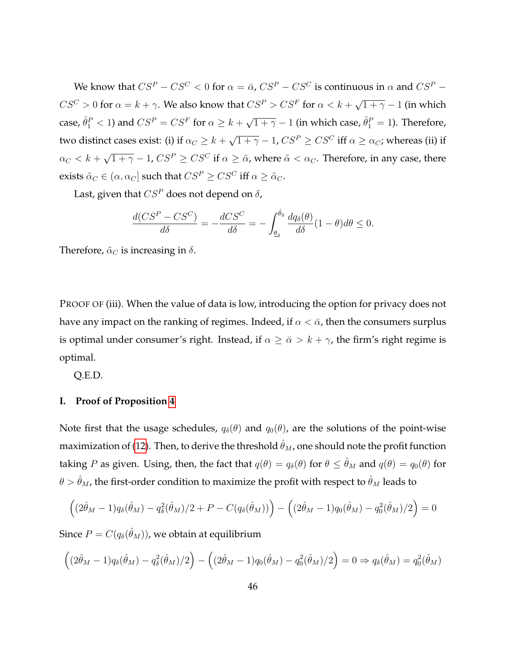We know that  $CS^P - CS^C < 0$  for  $\alpha = \bar{\alpha}$ ,  $CS^P - CS^C$  is continuous in  $\alpha$  and  $CS^P CS^C > 0$  for  $\alpha = k + \gamma$ . We also know that  $CS^P > CS^F$  for  $\alpha < k + \gamma$ √  $\overline{1 + \gamma} - 1$  (in which case,  $\hat{\theta}_1^P < 1$ ) and  $CS^P = CS^F$  for  $\alpha \geq k + 1$  $\sqrt{1+\gamma}-1$  (in which case,  $\hat{\theta}_1^P=1$ ). Therefore, two distinct cases exist: (i) if  $\alpha_C \geq k+1$  $\sqrt{1+\gamma}-1$ ,  $CS^P \geq CS^C$  iff  $\alpha \geq \alpha_C$ ; whereas (ii) if  $\alpha_C < k +$  $\sqrt{1+\gamma}-1$ ,  $CS^P \geq CS^C$  if  $\alpha \geq \tilde{\alpha}$ , where  $\tilde{\alpha} < \alpha_C$ . Therefore, in any case, there exists  $\tilde{\alpha}_C \in (\alpha, \alpha_C]$  such that  $CS^P \geq CS^C$  iff  $\alpha \geq \tilde{\alpha}_C$ .

Last, given that  $CS^P$  does not depend on  $\delta$ ,

$$
\frac{d(CS^P - CS^C)}{d\delta} = -\frac{dCS^C}{d\delta} = -\int_{\underline{\theta}_{\delta}}^{\hat{\theta}_{\delta}} \frac{dq_{\delta}(\theta)}{d\delta} (1 - \theta) d\theta \le 0.
$$

Therefore,  $\tilde{\alpha}_C$  is increasing in  $\delta$ .

PROOF OF (iii). When the value of data is low, introducing the option for privacy does not have any impact on the ranking of regimes. Indeed, if  $\alpha < \bar{\alpha}$ , then the consumers surplus is optimal under consumer's right. Instead, if  $\alpha \ge \bar{\alpha} > k + \gamma$ , the firm's right regime is optimal.

Q.E.D.

# **I. Proof of Proposition [4](#page-30-1)**

Note first that the usage schedules,  $q_{\delta}(\theta)$  and  $q_0(\theta)$ , are the solutions of the point-wise maximization of [\(12\)](#page-28-1). Then, to derive the threshold  $\hat{\theta}_M$ , one should note the profit function taking P as given. Using, then, the fact that  $q(\theta) = q_{\delta}(\theta)$  for  $\theta \leq \hat{\theta}_M$  and  $q(\theta) = q_0(\theta)$  for  $\theta > \hat{\theta}_M$ , the first-order condition to maximize the profit with respect to  $\hat{\theta}_M$  leads to

$$
((2\hat{\theta}_M - 1)q_{\delta}(\hat{\theta}_M) - q_{\delta}^2(\hat{\theta}_M)/2 + P - C(q_{\delta}(\hat{\theta}_M))) - ((2\hat{\theta}_M - 1)q_0(\hat{\theta}_M) - q_0^2(\hat{\theta}_M)/2) = 0
$$

Since  $P=C(q_\delta(\hat\theta_M))$ , we obtain at equilibrium

$$
((2\hat{\theta}_M - 1)q_\delta(\hat{\theta}_M) - q_\delta^2(\hat{\theta}_M)/2) - ((2\hat{\theta}_M - 1)q_0(\hat{\theta}_M) - q_0^2(\hat{\theta}_M)/2) = 0 \Rightarrow q_\delta(\hat{\theta}_M) = q_0^2(\hat{\theta}_M)
$$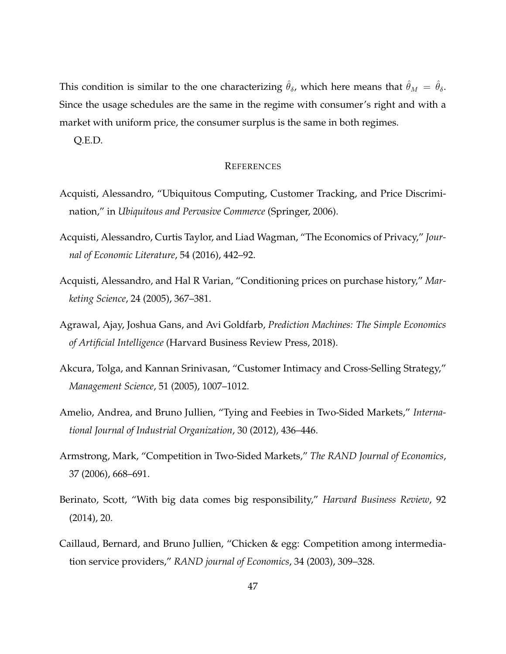This condition is similar to the one characterizing  $\hat{\theta}_{\delta}$ , which here means that  $\hat{\theta}_M = \hat{\theta}_{\delta}$ . Since the usage schedules are the same in the regime with consumer's right and with a market with uniform price, the consumer surplus is the same in both regimes.

Q.E.D.

#### **REFERENCES**

- <span id="page-46-1"></span>Acquisti, Alessandro, "Ubiquitous Computing, Customer Tracking, and Price Discrimination," in *Ubiquitous and Pervasive Commerce* (Springer, 2006).
- <span id="page-46-2"></span>Acquisti, Alessandro, Curtis Taylor, and Liad Wagman, "The Economics of Privacy," *Journal of Economic Literature*, 54 (2016), 442–92.
- <span id="page-46-4"></span>Acquisti, Alessandro, and Hal R Varian, "Conditioning prices on purchase history," *Marketing Science*, 24 (2005), 367–381.
- <span id="page-46-5"></span>Agrawal, Ajay, Joshua Gans, and Avi Goldfarb, *Prediction Machines: The Simple Economics of Artificial Intelligence* (Harvard Business Review Press, 2018).
- <span id="page-46-8"></span>Akcura, Tolga, and Kannan Srinivasan, "Customer Intimacy and Cross-Selling Strategy," *Management Science*, 51 (2005), 1007–1012.
- <span id="page-46-7"></span>Amelio, Andrea, and Bruno Jullien, "Tying and Feebies in Two-Sided Markets," *International Journal of Industrial Organization*, 30 (2012), 436–446.
- <span id="page-46-3"></span>Armstrong, Mark, "Competition in Two-Sided Markets," *The RAND Journal of Economics*, 37 (2006), 668–691.
- <span id="page-46-0"></span>Berinato, Scott, "With big data comes big responsibility," *Harvard Business Review*, 92 (2014), 20.
- <span id="page-46-6"></span>Caillaud, Bernard, and Bruno Jullien, "Chicken & egg: Competition among intermediation service providers," *RAND journal of Economics*, 34 (2003), 309–328.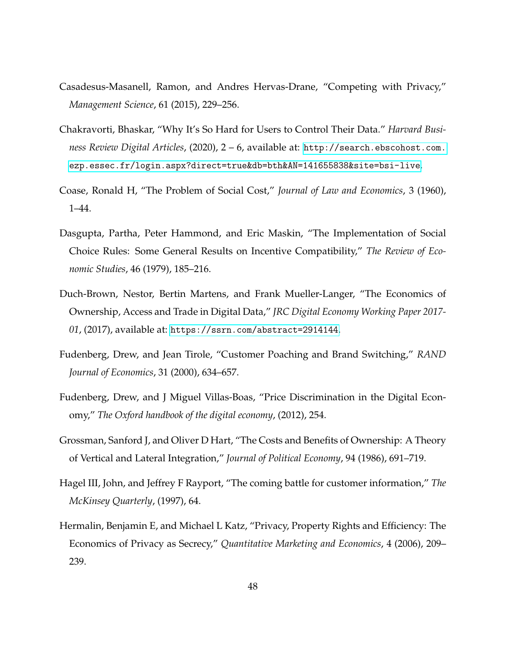- <span id="page-47-9"></span>Casadesus-Masanell, Ramon, and Andres Hervas-Drane, "Competing with Privacy," *Management Science*, 61 (2015), 229–256.
- <span id="page-47-2"></span>Chakravorti, Bhaskar, "Why It's So Hard for Users to Control Their Data." *Harvard Business Review Digital Articles*, (2020), 2 – 6, available at: [http://search.ebscohost.com.](http://search.ebscohost.com.ezp.essec.fr/login.aspx?direct=true&db=bth&AN=141655838&site=bsi-live) [ezp.essec.fr/login.aspx?direct=true&db=bth&AN=141655838&site=bsi-live](http://search.ebscohost.com.ezp.essec.fr/login.aspx?direct=true&db=bth&AN=141655838&site=bsi-live).
- <span id="page-47-3"></span>Coase, Ronald H, "The Problem of Social Cost," *Journal of Law and Economics*, 3 (1960), 1–44.
- <span id="page-47-4"></span>Dasgupta, Partha, Peter Hammond, and Eric Maskin, "The Implementation of Social Choice Rules: Some General Results on Incentive Compatibility," *The Review of Economic Studies*, 46 (1979), 185–216.
- <span id="page-47-1"></span>Duch-Brown, Nestor, Bertin Martens, and Frank Mueller-Langer, "The Economics of Ownership, Access and Trade in Digital Data," *JRC Digital Economy Working Paper 2017- 01*, (2017), available at: <https://ssrn.com/abstract=2914144>.
- <span id="page-47-7"></span>Fudenberg, Drew, and Jean Tirole, "Customer Poaching and Brand Switching," *RAND Journal of Economics*, 31 (2000), 634–657.
- <span id="page-47-8"></span>Fudenberg, Drew, and J Miguel Villas-Boas, "Price Discrimination in the Digital Economy," *The Oxford handbook of the digital economy*, (2012), 254.
- <span id="page-47-5"></span>Grossman, Sanford J, and Oliver D Hart, "The Costs and Benefits of Ownership: A Theory of Vertical and Lateral Integration," *Journal of Political Economy*, 94 (1986), 691–719.
- <span id="page-47-0"></span>Hagel III, John, and Jeffrey F Rayport, "The coming battle for customer information," *The McKinsey Quarterly*, (1997), 64.
- <span id="page-47-6"></span>Hermalin, Benjamin E, and Michael L Katz, "Privacy, Property Rights and Efficiency: The Economics of Privacy as Secrecy," *Quantitative Marketing and Economics*, 4 (2006), 209– 239.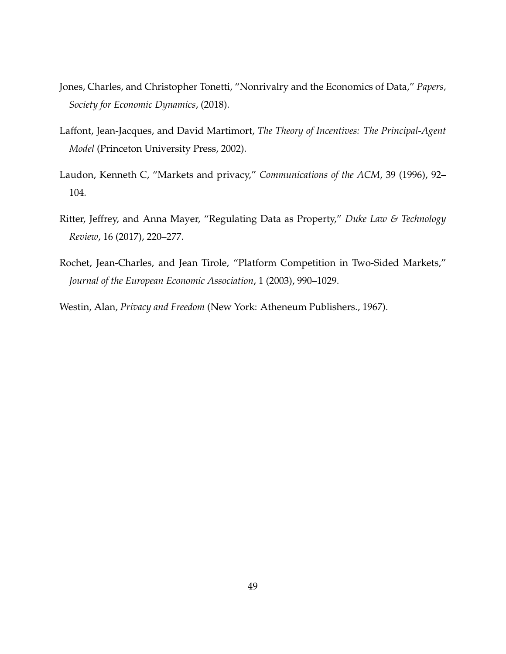- <span id="page-48-2"></span>Jones, Charles, and Christopher Tonetti, "Nonrivalry and the Economics of Data," *Papers, Society for Economic Dynamics*, (2018).
- <span id="page-48-5"></span>Laffont, Jean-Jacques, and David Martimort, *The Theory of Incentives: The Principal-Agent Model* (Princeton University Press, 2002).
- <span id="page-48-0"></span>Laudon, Kenneth C, "Markets and privacy," *Communications of the ACM*, 39 (1996), 92– 104.
- <span id="page-48-1"></span>Ritter, Jeffrey, and Anna Mayer, "Regulating Data as Property," *Duke Law & Technology Review*, 16 (2017), 220–277.
- <span id="page-48-3"></span>Rochet, Jean-Charles, and Jean Tirole, "Platform Competition in Two-Sided Markets," *Journal of the European Economic Association*, 1 (2003), 990–1029.
- <span id="page-48-4"></span>Westin, Alan, *Privacy and Freedom* (New York: Atheneum Publishers., 1967).